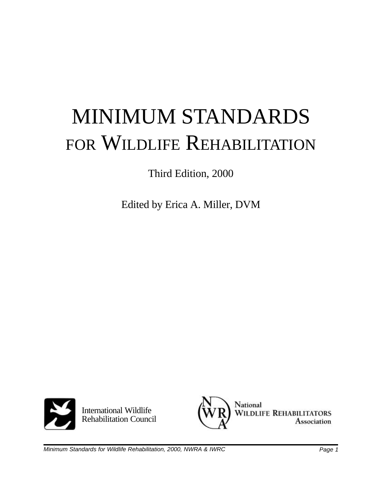# MINIMUM STANDARDS FOR WILDLIFE REHABILITATION

Third Edition, 2000

Edited by Erica A. Miller, DVM



International Wildlife Rehabilitation Council

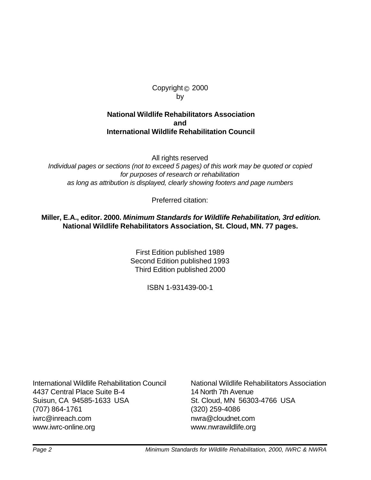#### Copyright© 2000 by

#### **National Wildlife Rehabilitators Association and International Wildlife Rehabilitation Council**

All rights reserved *Individual pages or sections (not to exceed 5 pages) of this work may be quoted or copied*

*for purposes of research or rehabilitation as long as attribution is displayed, clearly showing footers and page numbers*

Preferred citation:

#### **Miller, E.A., editor. 2000.** *Minimum Standards for Wildlife Rehabilitation, 3rd edition.* **National Wildlife Rehabilitators Association, St. Cloud, MN. 77 pages.**

First Edition published 1989 Second Edition published 1993 Third Edition published 2000

ISBN 1-931439-00-1

4437 Central Place Suite B-4 14 North 7th Avenue Suisun, CA 94585-1633 USA St. Cloud, MN 56303-4766 USA (707) 864-1761 (320) 259-4086 iwrc@inreach.com nwra@cloudnet.com www.iwrc-online.org www.nwrawildlife.org

International Wildlife Rehabilitation Council National Wildlife Rehabilitators Association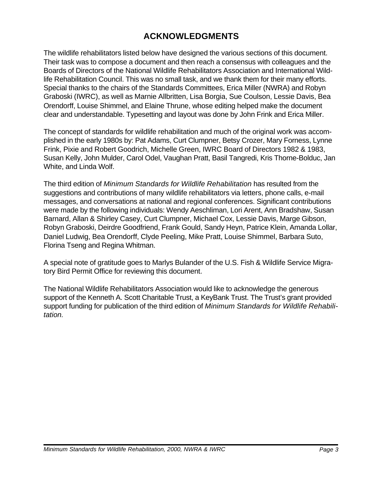# **ACKNOWLEDGMENTS**

The wildlife rehabilitators listed below have designed the various sections of this document. Their task was to compose a document and then reach a consensus with colleagues and the Boards of Directors of the National Wildlife Rehabilitators Association and International Wildlife Rehabilitation Council. This was no small task, and we thank them for their many efforts. Special thanks to the chairs of the Standards Committees, Erica Miller (NWRA) and Robyn Graboski (IWRC), as well as Marnie Allbritten, Lisa Borgia, Sue Coulson, Lessie Davis, Bea Orendorff, Louise Shimmel, and Elaine Thrune, whose editing helped make the document clear and understandable. Typesetting and layout was done by John Frink and Erica Miller.

The concept of standards for wildlife rehabilitation and much of the original work was accomplished in the early 1980s by: Pat Adams, Curt Clumpner, Betsy Crozer, Mary Forness, Lynne Frink, Pixie and Robert Goodrich, Michelle Green, IWRC Board of Directors 1982 & 1983, Susan Kelly, John Mulder, Carol Odel, Vaughan Pratt, Basil Tangredi, Kris Thorne-Bolduc, Jan White, and Linda Wolf.

The third edition of *Minimum Standards for Wildlife Rehabilitation* has resulted from the suggestions and contributions of many wildlife rehabilitators via letters, phone calls, e-mail messages, and conversations at national and regional conferences. Significant contributions were made by the following individuals: Wendy Aeschliman, Lori Arent, Ann Bradshaw, Susan Barnard, Allan & Shirley Casey, Curt Clumpner, Michael Cox, Lessie Davis, Marge Gibson, Robyn Graboski, Deirdre Goodfriend, Frank Gould, Sandy Heyn, Patrice Klein, Amanda Lollar, Daniel Ludwig, Bea Orendorff, Clyde Peeling, Mike Pratt, Louise Shimmel, Barbara Suto, Florina Tseng and Regina Whitman.

A special note of gratitude goes to Marlys Bulander of the U.S. Fish & Wildlife Service Migratory Bird Permit Office for reviewing this document.

The National Wildlife Rehabilitators Association would like to acknowledge the generous support of the Kenneth A. Scott Charitable Trust, a KeyBank Trust. The Trust's grant provided support funding for publication of the third edition of *Minimum Standards for Wildlife Rehabilitation.*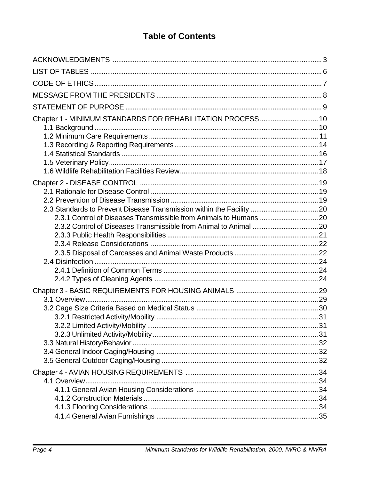# **Table of Contents**

| Chapter 1 - MINIMUM STANDARDS FOR REHABILITATION PROCESS 10 |  |
|-------------------------------------------------------------|--|
|                                                             |  |
|                                                             |  |
|                                                             |  |
|                                                             |  |
|                                                             |  |
|                                                             |  |
|                                                             |  |
|                                                             |  |
|                                                             |  |
|                                                             |  |
|                                                             |  |
|                                                             |  |
|                                                             |  |
|                                                             |  |
|                                                             |  |
|                                                             |  |
|                                                             |  |
|                                                             |  |
|                                                             |  |
|                                                             |  |
|                                                             |  |
|                                                             |  |
|                                                             |  |
|                                                             |  |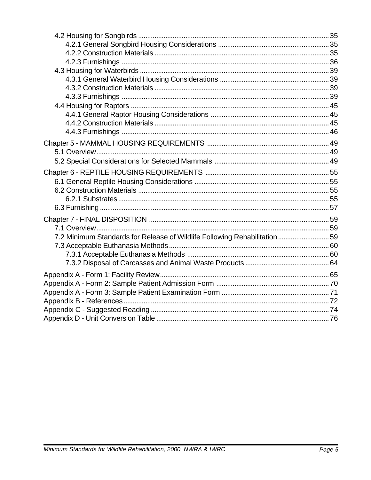| 7.2 Minimum Standards for Release of Wildlife Following Rehabilitation 59 |  |
|---------------------------------------------------------------------------|--|
|                                                                           |  |
|                                                                           |  |
|                                                                           |  |
|                                                                           |  |
|                                                                           |  |
|                                                                           |  |
|                                                                           |  |
|                                                                           |  |
|                                                                           |  |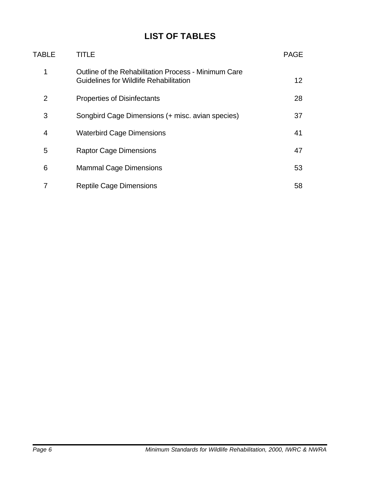# **LIST OF TABLES**

| TABLE | TITLE                                                                                          | <b>PAGE</b>     |
|-------|------------------------------------------------------------------------------------------------|-----------------|
| 1     | Outline of the Rehabilitation Process - Minimum Care<br>Guidelines for Wildlife Rehabilitation | 12 <sup>2</sup> |
| 2     | <b>Properties of Disinfectants</b>                                                             | 28              |
| 3     | Songbird Cage Dimensions (+ misc. avian species)                                               | 37              |
| 4     | <b>Waterbird Cage Dimensions</b>                                                               | 41              |
| 5     | <b>Raptor Cage Dimensions</b>                                                                  | 47              |
| 6     | <b>Mammal Cage Dimensions</b>                                                                  | 53              |
|       | <b>Reptile Cage Dimensions</b>                                                                 | 58              |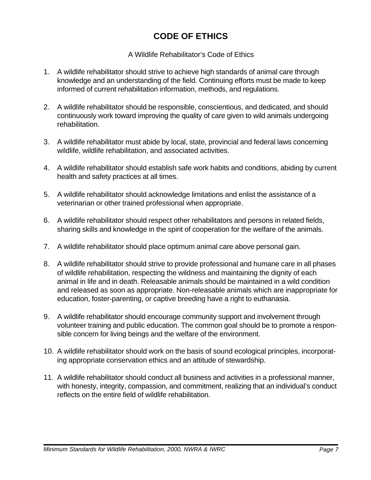# **CODE OF ETHICS**

#### A Wildlife Rehabilitator's Code of Ethics

- 1. A wildlife rehabilitator should strive to achieve high standards of animal care through knowledge and an understanding of the field. Continuing efforts must be made to keep informed of current rehabilitation information, methods, and regulations.
- 2. A wildlife rehabilitator should be responsible, conscientious, and dedicated, and should continuously work toward improving the quality of care given to wild animals undergoing rehabilitation.
- 3. A wildlife rehabilitator must abide by local, state, provincial and federal laws concerning wildlife, wildlife rehabilitation, and associated activities.
- 4. A wildlife rehabilitator should establish safe work habits and conditions, abiding by current health and safety practices at all times.
- 5. A wildlife rehabilitator should acknowledge limitations and enlist the assistance of a veterinarian or other trained professional when appropriate.
- 6. A wildlife rehabilitator should respect other rehabilitators and persons in related fields, sharing skills and knowledge in the spirit of cooperation for the welfare of the animals.
- 7. A wildlife rehabilitator should place optimum animal care above personal gain.
- 8. A wildlife rehabilitator should strive to provide professional and humane care in all phases of wildlife rehabilitation, respecting the wildness and maintaining the dignity of each animal in life and in death. Releasable animals should be maintained in a wild condition and released as soon as appropriate. Non-releasable animals which are inappropriate for education, foster-parenting, or captive breeding have a right to euthanasia.
- 9. A wildlife rehabilitator should encourage community support and involvement through volunteer training and public education. The common goal should be to promote a responsible concern for living beings and the welfare of the environment.
- 10. A wildlife rehabilitator should work on the basis of sound ecological principles, incorporating appropriate conservation ethics and an attitude of stewardship.
- 11. A wildlife rehabilitator should conduct all business and activities in a professional manner, with honesty, integrity, compassion, and commitment, realizing that an individual's conduct reflects on the entire field of wildlife rehabilitation.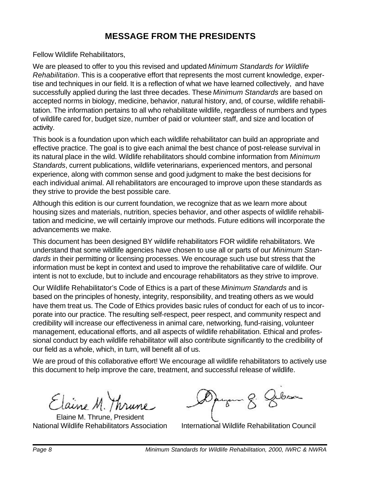# **MESSAGE FROM THE PRESIDENTS**

Fellow Wildlife Rehabilitators,

We are pleased to offer to you this revised and updated *Minimum Standards for Wildlife Rehabilitation*. This is a cooperative effort that represents the most current knowledge, expertise and techniques in our field. It is a reflection of what we have learned collectively, and have successfully applied during the last three decades. These *Minimum Standards* are based on accepted norms in biology, medicine, behavior, natural history, and, of course, wildlife rehabilitation. The information pertains to all who rehabilitate wildlife, regardless of numbers and types of wildlife cared for, budget size, number of paid or volunteer staff, and size and location of activity.

This book is a foundation upon which each wildlife rehabilitator can build an appropriate and effective practice. The goal is to give each animal the best chance of post-release survival in its natural place in the wild. Wildlife rehabilitators should combine information from *Minimum Standards*, current publications, wildlife veterinarians, experienced mentors, and personal experience, along with common sense and good judgment to make the best decisions for each individual animal. All rehabilitators are encouraged to improve upon these standards as they strive to provide the best possible care.

Although this edition is our current foundation, we recognize that as we learn more about housing sizes and materials, nutrition, species behavior, and other aspects of wildlife rehabilitation and medicine, we will certainly improve our methods. Future editions will incorporate the advancements we make.

This document has been designed BY wildlife rehabilitators FOR wildlife rehabilitators. We understand that some wildlife agencies have chosen to use all or parts of our *Minimum Standards* in their permitting or licensing processes. We encourage such use but stress that the information must be kept in context and used to improve the rehabilitative care of wildlife. Our intent is not to exclude, but to include and encourage rehabilitators as they strive to improve.

Our Wildlife Rehabilitator's Code of Ethics is a part of these *Minimum Standards* and is based on the principles of honesty, integrity, responsibility, and treating others as we would have them treat us. The Code of Ethics provides basic rules of conduct for each of us to incorporate into our practice. The resulting self-respect, peer respect, and community respect and credibility will increase our effectiveness in animal care, networking, fund-raising, volunteer management, educational efforts, and all aspects of wildlife rehabilitation. Ethical and professional conduct by each wildlife rehabilitator will also contribute significantly to the credibility of our field as a whole, which, in turn, will benefit all of us.

We are proud of this collaborative effort! We encourage all wildlife rehabilitators to actively use this document to help improve the care, treatment, and successful release of wildlife.

Elaine M. Thrune

Elaine M. Thrune, President

degan 8. Gebore

National Wildlife Rehabilitators Association International Wildlife Rehabilitation Council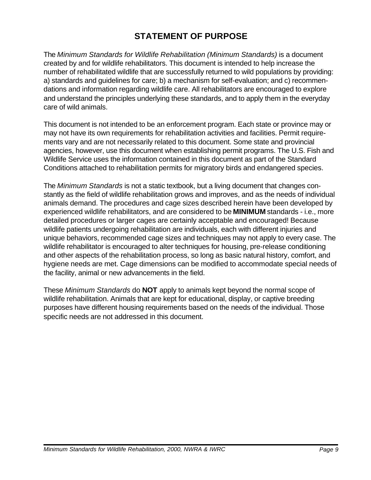# **STATEMENT OF PURPOSE**

The *Minimum Standards for Wildlife Rehabilitation (Minimum Standards)* is a document created by and for wildlife rehabilitators. This document is intended to help increase the number of rehabilitated wildlife that are successfully returned to wild populations by providing: a) standards and guidelines for care; b) a mechanism for self-evaluation; and c) recommendations and information regarding wildlife care. All rehabilitators are encouraged to explore and understand the principles underlying these standards, and to apply them in the everyday care of wild animals.

This document is not intended to be an enforcement program. Each state or province may or may not have its own requirements for rehabilitation activities and facilities. Permit requirements vary and are not necessarily related to this document. Some state and provincial agencies, however, use this document when establishing permit programs. The U.S. Fish and Wildlife Service uses the information contained in this document as part of the Standard Conditions attached to rehabilitation permits for migratory birds and endangered species.

The *Minimum Standards* is not a static textbook, but a living document that changes constantly as the field of wildlife rehabilitation grows and improves, and as the needs of individual animals demand. The procedures and cage sizes described herein have been developed by experienced wildlife rehabilitators, and are considered to be **MINIMUM** standards - i.e., more detailed procedures or larger cages are certainly acceptable and encouraged! Because wildlife patients undergoing rehabilitation are individuals, each with different injuries and unique behaviors, recommended cage sizes and techniques may not apply to every case. The wildlife rehabilitator is encouraged to alter techniques for housing, pre-release conditioning and other aspects of the rehabilitation process, so long as basic natural history, comfort, and hygiene needs are met. Cage dimensions can be modified to accommodate special needs of the facility, animal or new advancements in the field.

These *Minimum Standards* do **NOT** apply to animals kept beyond the normal scope of wildlife rehabilitation. Animals that are kept for educational, display, or captive breeding purposes have different housing requirements based on the needs of the individual. Those specific needs are not addressed in this document.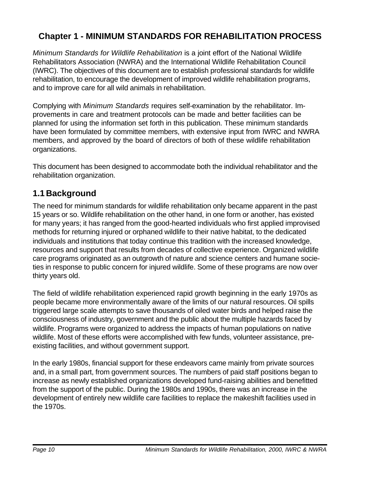# **Chapter 1 - MINIMUM STANDARDS FOR REHABILITATION PROCESS**

*Minimum Standards for Wildlife Rehabilitation* is a joint effort of the National Wildlife Rehabilitators Association (NWRA) and the International Wildlife Rehabilitation Council (IWRC). The objectives of this document are to establish professional standards for wildlife rehabilitation, to encourage the development of improved wildlife rehabilitation programs, and to improve care for all wild animals in rehabilitation.

Complying with *Minimum Standards* requires self-examination by the rehabilitator. Improvements in care and treatment protocols can be made and better facilities can be planned for using the information set forth in this publication. These minimum standards have been formulated by committee members, with extensive input from IWRC and NWRA members, and approved by the board of directors of both of these wildlife rehabilitation organizations.

This document has been designed to accommodate both the individual rehabilitator and the rehabilitation organization.

# **1.1 Background**

The need for minimum standards for wildlife rehabilitation only became apparent in the past 15 years or so. Wildlife rehabilitation on the other hand, in one form or another, has existed for many years; it has ranged from the good-hearted individuals who first applied improvised methods for returning injured or orphaned wildlife to their native habitat, to the dedicated individuals and institutions that today continue this tradition with the increased knowledge, resources and support that results from decades of collective experience. Organized wildlife care programs originated as an outgrowth of nature and science centers and humane societies in response to public concern for injured wildlife. Some of these programs are now over thirty years old.

The field of wildlife rehabilitation experienced rapid growth beginning in the early 1970s as people became more environmentally aware of the limits of our natural resources. Oil spills triggered large scale attempts to save thousands of oiled water birds and helped raise the consciousness of industry, government and the public about the multiple hazards faced by wildlife. Programs were organized to address the impacts of human populations on native wildlife. Most of these efforts were accomplished with few funds, volunteer assistance, preexisting facilities, and without government support.

In the early 1980s, financial support for these endeavors came mainly from private sources and, in a small part, from government sources. The numbers of paid staff positions began to increase as newly established organizations developed fund-raising abilities and benefitted from the support of the public. During the 1980s and 1990s, there was an increase in the development of entirely new wildlife care facilities to replace the makeshift facilities used in the 1970s.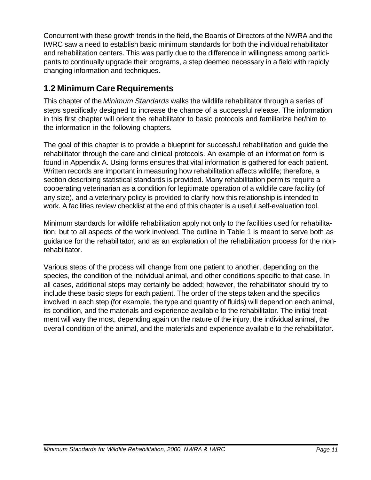Concurrent with these growth trends in the field, the Boards of Directors of the NWRA and the IWRC saw a need to establish basic minimum standards for both the individual rehabilitator and rehabilitation centers. This was partly due to the difference in willingness among participants to continually upgrade their programs, a step deemed necessary in a field with rapidly changing information and techniques.

# **1.2 Minimum Care Requirements**

This chapter of the *Minimum Standards* walks the wildlife rehabilitator through a series of steps specifically designed to increase the chance of a successful release. The information in this first chapter will orient the rehabilitator to basic protocols and familiarize her/him to the information in the following chapters.

The goal of this chapter is to provide a blueprint for successful rehabilitation and guide the rehabilitator through the care and clinical protocols. An example of an information form is found in Appendix A. Using forms ensures that vital information is gathered for each patient. Written records are important in measuring how rehabilitation affects wildlife; therefore, a section describing statistical standards is provided. Many rehabilitation permits require a cooperating veterinarian as a condition for legitimate operation of a wildlife care facility (of any size), and a veterinary policy is provided to clarify how this relationship is intended to work. A facilities review checklist at the end of this chapter is a useful self-evaluation tool.

Minimum standards for wildlife rehabilitation apply not only to the facilities used for rehabilitation, but to all aspects of the work involved. The outline in Table 1 is meant to serve both as guidance for the rehabilitator, and as an explanation of the rehabilitation process for the nonrehabilitator.

Various steps of the process will change from one patient to another, depending on the species, the condition of the individual animal, and other conditions specific to that case. In all cases, additional steps may certainly be added; however, the rehabilitator should try to include these basic steps for each patient. The order of the steps taken and the specifics involved in each step (for example, the type and quantity of fluids) will depend on each animal, its condition, and the materials and experience available to the rehabilitator. The initial treatment will vary the most, depending again on the nature of the injury, the individual animal, the overall condition of the animal, and the materials and experience available to the rehabilitator.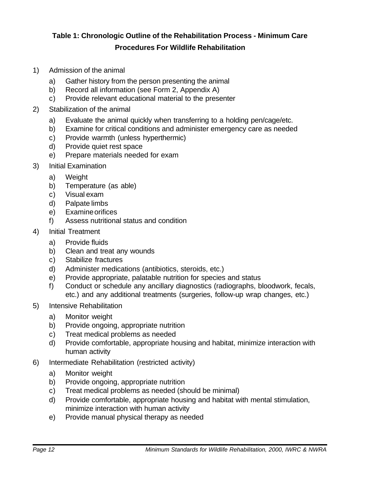### **Table 1: Chronologic Outline of the Rehabilitation Process - Minimum Care Procedures For Wildlife Rehabilitation**

- 1) Admission of the animal
	- a) Gather history from the person presenting the animal
	- b) Record all information (see Form 2, Appendix A)
	- c) Provide relevant educational material to the presenter
- 2) Stabilization of the animal
	- a) Evaluate the animal quickly when transferring to a holding pen/cage/etc.
	- b) Examine for critical conditions and administer emergency care as needed
	- c) Provide warmth (unless hyperthermic)
	- d) Provide quiet rest space
	- e) Prepare materials needed for exam
- 3) Initial Examination
	- a) Weight
	- b) Temperature (as able)
	- c) Visual exam
	- d) Palpate limbs
	- e) Examine orifices
	- f) Assess nutritional status and condition
- 4) Initial Treatment
	- a) Provide fluids
	- b) Clean and treat any wounds
	- c) Stabilize fractures
	- d) Administer medications (antibiotics, steroids, etc.)
	- e) Provide appropriate, palatable nutrition for species and status
	- f) Conduct or schedule any ancillary diagnostics (radiographs, bloodwork, fecals, etc.) and any additional treatments (surgeries, follow-up wrap changes, etc.)
- 5) Intensive Rehabilitation
	- a) Monitor weight
	- b) Provide ongoing, appropriate nutrition
	- c) Treat medical problems as needed
	- d) Provide comfortable, appropriate housing and habitat, minimize interaction with human activity
- 6) Intermediate Rehabilitation (restricted activity)
	- a) Monitor weight
	- b) Provide ongoing, appropriate nutrition
	- c) Treat medical problems as needed (should be minimal)
	- d) Provide comfortable, appropriate housing and habitat with mental stimulation, minimize interaction with human activity
	- e) Provide manual physical therapy as needed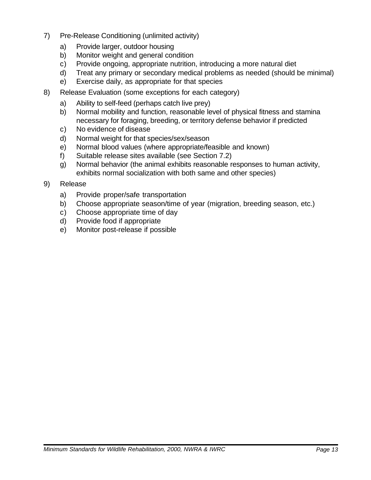- 7) Pre-Release Conditioning (unlimited activity)
	- a) Provide larger, outdoor housing
	- b) Monitor weight and general condition
	- c) Provide ongoing, appropriate nutrition, introducing a more natural diet
	- d) Treat any primary or secondary medical problems as needed (should be minimal)
	- e) Exercise daily, as appropriate for that species
- 8) Release Evaluation (some exceptions for each category)
	- a) Ability to self-feed (perhaps catch live prey)
	- b) Normal mobility and function, reasonable level of physical fitness and stamina necessary for foraging, breeding, or territory defense behavior if predicted
	- c) No evidence of disease
	- d) Normal weight for that species/sex/season
	- e) Normal blood values (where appropriate/feasible and known)
	- f) Suitable release sites available (see Section 7.2)
	- g) Normal behavior (the animal exhibits reasonable responses to human activity, exhibits normal socialization with both same and other species)
- 9) Release
	- a) Provide proper/safe transportation
	- b) Choose appropriate season/time of year (migration, breeding season, etc.)
	- c) Choose appropriate time of day
	- d) Provide food if appropriate
	- e) Monitor post-release if possible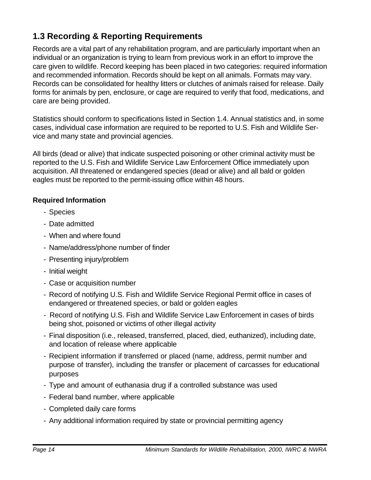# **1.3 Recording & Reporting Requirements**

Records are a vital part of any rehabilitation program, and are particularly important when an individual or an organization is trying to learn from previous work in an effort to improve the care given to wildlife. Record keeping has been placed in two categories: required information and recommended information. Records should be kept on all animals. Formats may vary. Records can be consolidated for healthy litters or clutches of animals raised for release. Daily forms for animals by pen, enclosure, or cage are required to verify that food, medications, and care are being provided.

Statistics should conform to specifications listed in Section 1.4. Annual statistics and, in some cases, individual case information are required to be reported to U.S. Fish and Wildlife Service and many state and provincial agencies.

All birds (dead or alive) that indicate suspected poisoning or other criminal activity must be reported to the U.S. Fish and Wildlife Service Law Enforcement Office immediately upon acquisition. All threatened or endangered species (dead or alive) and all bald or golden eagles must be reported to the permit-issuing office within 48 hours.

#### **Required Information**

- Species
- Date admitted
- When and where found
- Name/address/phone number of finder
- Presenting injury/problem
- Initial weight
- Case or acquisition number
- Record of notifying U.S. Fish and Wildlife Service Regional Permit office in cases of endangered or threatened species, or bald or golden eagles
- Record of notifying U.S. Fish and Wildlife Service Law Enforcement in cases of birds being shot, poisoned or victims of other illegal activity
- Final disposition (i.e., released, transferred, placed, died, euthanized), including date, and location of release where applicable
- Recipient information if transferred or placed (name, address, permit number and purpose of transfer), including the transfer or placement of carcasses for educational purposes
- Type and amount of euthanasia drug if a controlled substance was used
- Federal band number, where applicable
- Completed daily care forms
- Any additional information required by state or provincial permitting agency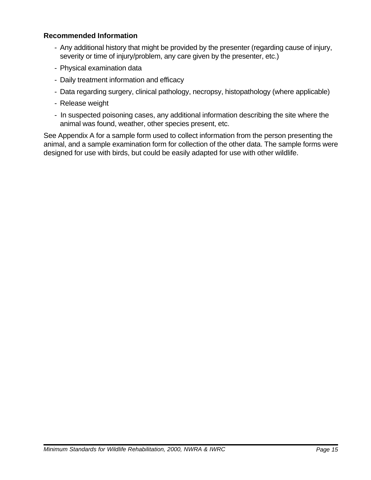#### **Recommended Information**

- Any additional history that might be provided by the presenter (regarding cause of injury, severity or time of injury/problem, any care given by the presenter, etc.)
- Physical examination data
- Daily treatment information and efficacy
- Data regarding surgery, clinical pathology, necropsy, histopathology (where applicable)
- Release weight
- In suspected poisoning cases, any additional information describing the site where the animal was found, weather, other species present, etc.

See Appendix A for a sample form used to collect information from the person presenting the animal, and a sample examination form for collection of the other data. The sample forms were designed for use with birds, but could be easily adapted for use with other wildlife.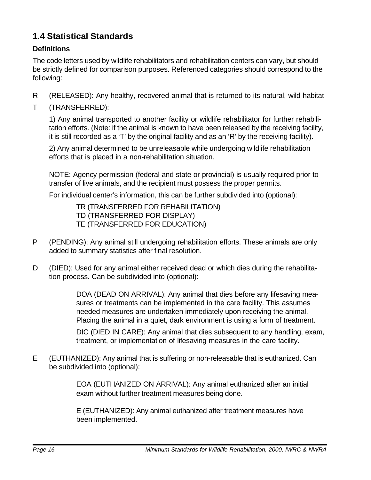# **1.4 Statistical Standards**

#### **Definitions**

The code letters used by wildlife rehabilitators and rehabilitation centers can vary, but should be strictly defined for comparison purposes. Referenced categories should correspond to the following:

- R (RELEASED): Any healthy, recovered animal that is returned to its natural, wild habitat
- T (TRANSFERRED):

1) Any animal transported to another facility or wildlife rehabilitator for further rehabilitation efforts. (Note: if the animal is known to have been released by the receiving facility, it is still recorded as a 'T' by the original facility and as an 'R' by the receiving facility).

2) Any animal determined to be unreleasable while undergoing wildlife rehabilitation efforts that is placed in a non-rehabilitation situation.

NOTE: Agency permission (federal and state or provincial) is usually required prior to transfer of live animals, and the recipient must possess the proper permits.

For individual center's information, this can be further subdivided into (optional):

TR (TRANSFERRED FOR REHABILITATION) TD (TRANSFERRED FOR DISPLAY) TE (TRANSFERRED FOR EDUCATION)

- P (PENDING): Any animal still undergoing rehabilitation efforts. These animals are only added to summary statistics after final resolution.
- D (DIED): Used for any animal either received dead or which dies during the rehabilitation process. Can be subdivided into (optional):

DOA (DEAD ON ARRIVAL): Any animal that dies before any lifesaving measures or treatments can be implemented in the care facility. This assumes needed measures are undertaken immediately upon receiving the animal. Placing the animal in a quiet, dark environment is using a form of treatment.

DIC (DIED IN CARE): Any animal that dies subsequent to any handling, exam, treatment, or implementation of lifesaving measures in the care facility.

E (EUTHANIZED): Any animal that is suffering or non-releasable that is euthanized. Can be subdivided into (optional):

> EOA (EUTHANIZED ON ARRIVAL): Any animal euthanized after an initial exam without further treatment measures being done.

E (EUTHANIZED): Any animal euthanized after treatment measures have been implemented.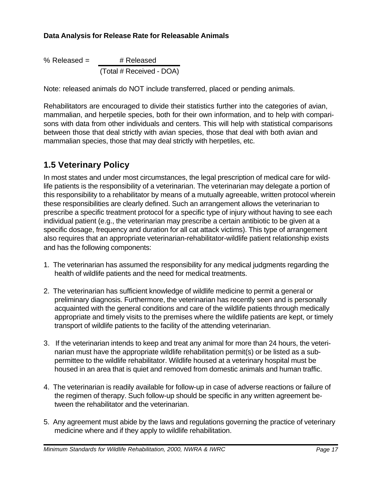#### **Data Analysis for Release Rate for Releasable Animals**

% Released =  $\#$  Released (Total # Received - DOA)

Note: released animals do NOT include transferred, placed or pending animals.

Rehabilitators are encouraged to divide their statistics further into the categories of avian, mammalian, and herpetile species, both for their own information, and to help with comparisons with data from other individuals and centers. This will help with statistical comparisons between those that deal strictly with avian species, those that deal with both avian and mammalian species, those that may deal strictly with herpetiles, etc.

# **1.5 Veterinary Policy**

In most states and under most circumstances, the legal prescription of medical care for wildlife patients is the responsibility of a veterinarian. The veterinarian may delegate a portion of this responsibility to a rehabilitator by means of a mutually agreeable, written protocol wherein these responsibilities are clearly defined. Such an arrangement allows the veterinarian to prescribe a specific treatment protocol for a specific type of injury without having to see each individual patient (e.g., the veterinarian may prescribe a certain antibiotic to be given at a specific dosage, frequency and duration for all cat attack victims). This type of arrangement also requires that an appropriate veterinarian-rehabilitator-wildlife patient relationship exists and has the following components:

- 1. The veterinarian has assumed the responsibility for any medical judgments regarding the health of wildlife patients and the need for medical treatments.
- 2. The veterinarian has sufficient knowledge of wildlife medicine to permit a general or preliminary diagnosis. Furthermore, the veterinarian has recently seen and is personally acquainted with the general conditions and care of the wildlife patients through medically appropriate and timely visits to the premises where the wildlife patients are kept, or timely transport of wildlife patients to the facility of the attending veterinarian.
- 3. If the veterinarian intends to keep and treat any animal for more than 24 hours, the veterinarian must have the appropriate wildlife rehabilitation permit(s) or be listed as a subpermittee to the wildlife rehabilitator. Wildlife housed at a veterinary hospital must be housed in an area that is quiet and removed from domestic animals and human traffic.
- 4. The veterinarian is readily available for follow-up in case of adverse reactions or failure of the regimen of therapy. Such follow-up should be specific in any written agreement between the rehabilitator and the veterinarian.
- 5. Any agreement must abide by the laws and regulations governing the practice of veterinary medicine where and if they apply to wildlife rehabilitation.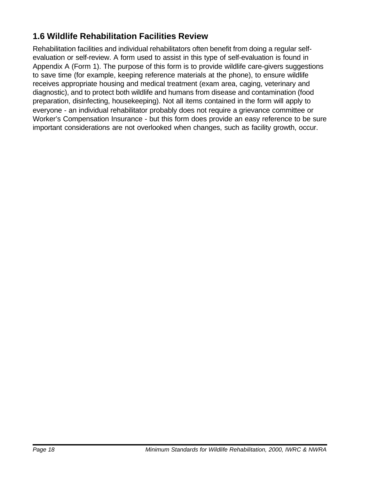# **1.6 Wildlife Rehabilitation Facilities Review**

Rehabilitation facilities and individual rehabilitators often benefit from doing a regular selfevaluation or self-review. A form used to assist in this type of self-evaluation is found in Appendix A (Form 1). The purpose of this form is to provide wildlife care-givers suggestions to save time (for example, keeping reference materials at the phone), to ensure wildlife receives appropriate housing and medical treatment (exam area, caging, veterinary and diagnostic), and to protect both wildlife and humans from disease and contamination (food preparation, disinfecting, housekeeping). Not all items contained in the form will apply to everyone - an individual rehabilitator probably does not require a grievance committee or Worker's Compensation Insurance - but this form does provide an easy reference to be sure important considerations are not overlooked when changes, such as facility growth, occur.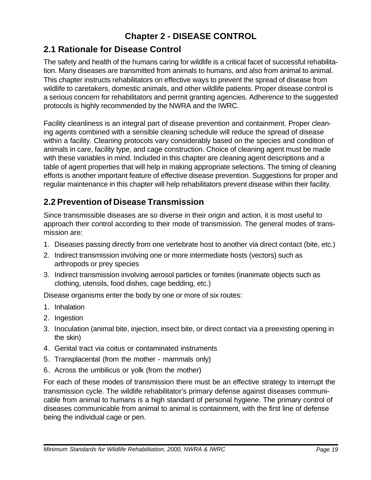# **Chapter 2 - DISEASE CONTROL**

# **2.1 Rationale for Disease Control**

The safety and health of the humans caring for wildlife is a critical facet of successful rehabilitation. Many diseases are transmitted from animals to humans, and also from animal to animal. This chapter instructs rehabilitators on effective ways to prevent the spread of disease from wildlife to caretakers, domestic animals, and other wildlife patients. Proper disease control is a serious concern for rehabilitators and permit granting agencies. Adherence to the suggested protocols is highly recommended by the NWRA and the IWRC.

Facility cleanliness is an integral part of disease prevention and containment. Proper cleaning agents combined with a sensible cleaning schedule will reduce the spread of disease within a facility. Cleaning protocols vary considerably based on the species and condition of animals in care, facility type, and cage construction. Choice of cleaning agent must be made with these variables in mind. Included in this chapter are cleaning agent descriptions and a table of agent properties that will help in making appropriate selections. The timing of cleaning efforts is another important feature of effective disease prevention. Suggestions for proper and regular maintenance in this chapter will help rehabilitators prevent disease within their facility.

# **2.2 Prevention of Disease Transmission**

Since transmissible diseases are so diverse in their origin and action, it is most useful to approach their control according to their mode of transmission. The general modes of transmission are:

- 1. Diseases passing directly from one vertebrate host to another via direct contact (bite, etc.)
- 2. Indirect transmission involving one or more intermediate hosts (vectors) such as arthropods or prey species
- 3. Indirect transmission involving aerosol particles or fomites (inanimate objects such as clothing, utensils, food dishes, cage bedding, etc.)

Disease organisms enter the body by one or more of six routes:

- 1. Inhalation
- 2. Ingestion
- 3. Inoculation (animal bite, injection, insect bite, or direct contact via a preexisting opening in the skin)
- 4. Genital tract via coitus or contaminated instruments
- 5. Transplacental (from the mother mammals only)
- 6. Across the umbilicus or yolk (from the mother)

For each of these modes of transmission there must be an effective strategy to interrupt the transmission cycle. The wildlife rehabilitator's primary defense against diseases communicable from animal to humans is a high standard of personal hygiene. The primary control of diseases communicable from animal to animal is containment, with the first line of defense being the individual cage or pen.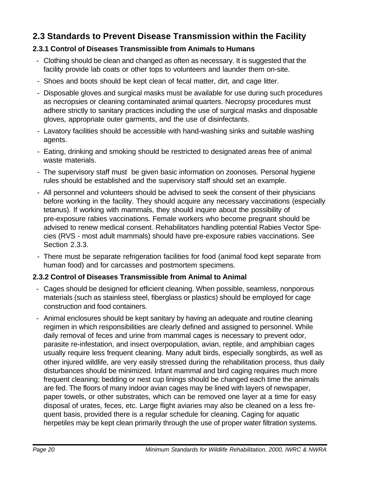# **2.3 Standards to Prevent Disease Transmission within the Facility**

#### **2.3.1 Control of Diseases Transmissible from Animals to Humans**

- Clothing should be clean and changed as often as necessary. It is suggested that the facility provide lab coats or other tops to volunteers and launder them on-site.
- Shoes and boots should be kept clean of fecal matter, dirt, and cage litter.
- Disposable gloves and surgical masks must be available for use during such procedures as necropsies or cleaning contaminated animal quarters. Necropsy procedures must adhere strictly to sanitary practices including the use of surgical masks and disposable gloves, appropriate outer garments, and the use of disinfectants.
- Lavatory facilities should be accessible with hand-washing sinks and suitable washing agents.
- Eating, drinking and smoking should be restricted to designated areas free of animal waste materials.
- The supervisory staff must be given basic information on zoonoses. Personal hygiene rules should be established and the supervisory staff should set an example.
- All personnel and volunteers should be advised to seek the consent of their physicians before working in the facility. They should acquire any necessary vaccinations (especially tetanus). If working with mammals, they should inquire about the possibility of pre-exposure rabies vaccinations. Female workers who become pregnant should be advised to renew medical consent. Rehabilitators handling potential Rabies Vector Species (RVS - most adult mammals) should have pre-exposure rabies vaccinations. See Section 2.3.3.
- There must be separate refrigeration facilities for food (animal food kept separate from human food) and for carcasses and postmortem specimens.

#### **2.3.2 Control of Diseases Transmissible from Animal to Animal**

- Cages should be designed for efficient cleaning. When possible, seamless, nonporous materials (such as stainless steel, fiberglass or plastics) should be employed for cage construction and food containers.
- Animal enclosures should be kept sanitary by having an adequate and routine cleaning regimen in which responsibilities are clearly defined and assigned to personnel. While daily removal of feces and urine from mammal cages is necessary to prevent odor, parasite re-infestation, and insect overpopulation, avian, reptile, and amphibian cages usually require less frequent cleaning. Many adult birds, especially songbirds, as well as other injured wildlife, are very easily stressed during the rehabilitation process, thus daily disturbances should be minimized. Infant mammal and bird caging requires much more frequent cleaning; bedding or nest cup linings should be changed each time the animals are fed. The floors of many indoor avian cages may be lined with layers of newspaper, paper towels, or other substrates, which can be removed one layer at a time for easy disposal of urates, feces, etc. Large flight aviaries may also be cleaned on a less frequent basis, provided there is a regular schedule for cleaning. Caging for aquatic herpetiles may be kept clean primarily through the use of proper water filtration systems.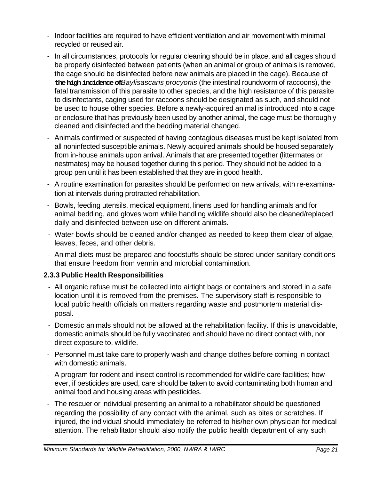- Indoor facilities are required to have efficient ventilation and air movement with minimal recycled or reused air.
- In all circumstances, protocols for regular cleaning should be in place, and all cages should be properly disinfected between patients (when an animal or group of animals is removed, the cage should be disinfected before new animals are placed in the cage). Because of **the high incidence of** *Baylisascaris procyonis* (the intestinal roundworm of raccoons), the fatal transmission of this parasite to other species, and the high resistance of this parasite to disinfectants, caging used for raccoons should be designated as such, and should not be used to house other species. Before a newly-acquired animal is introduced into a cage or enclosure that has previously been used by another animal, the cage must be thoroughly cleaned and disinfected and the bedding material changed.
- Animals confirmed or suspected of having contagious diseases must be kept isolated from all noninfected susceptible animals. Newly acquired animals should be housed separately from in-house animals upon arrival. Animals that are presented together (littermates or nestmates) may be housed together during this period. They should not be added to a group pen until it has been established that they are in good health.
- A routine examination for parasites should be performed on new arrivals, with re-examination at intervals during protracted rehabilitation.
- Bowls, feeding utensils, medical equipment, linens used for handling animals and for animal bedding, and gloves worn while handling wildlife should also be cleaned/replaced daily and disinfected between use on different animals.
- Water bowls should be cleaned and/or changed as needed to keep them clear of algae, leaves, feces, and other debris.
- Animal diets must be prepared and foodstuffs should be stored under sanitary conditions that ensure freedom from vermin and microbial contamination.

#### **2.3.3 Public Health Responsibilities**

- All organic refuse must be collected into airtight bags or containers and stored in a safe location until it is removed from the premises. The supervisory staff is responsible to local public health officials on matters regarding waste and postmortem material disposal.
- Domestic animals should not be allowed at the rehabilitation facility. If this is unavoidable, domestic animals should be fully vaccinated and should have no direct contact with, nor direct exposure to, wildlife.
- Personnel must take care to properly wash and change clothes before coming in contact with domestic animals.
- A program for rodent and insect control is recommended for wildlife care facilities; however, if pesticides are used, care should be taken to avoid contaminating both human and animal food and housing areas with pesticides.
- The rescuer or individual presenting an animal to a rehabilitator should be questioned regarding the possibility of any contact with the animal, such as bites or scratches. If injured, the individual should immediately be referred to his/her own physician for medical attention. The rehabilitator should also notify the public health department of any such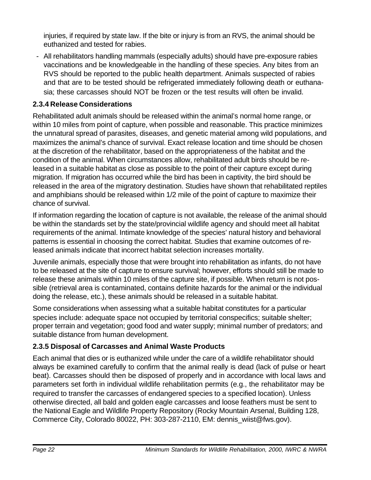injuries, if required by state law. If the bite or injury is from an RVS, the animal should be euthanized and tested for rabies.

 - All rehabilitators handling mammals (especially adults) should have pre-exposure rabies vaccinations and be knowledgeable in the handling of these species. Any bites from an RVS should be reported to the public health department. Animals suspected of rabies and that are to be tested should be refrigerated immediately following death or euthanasia; these carcasses should NOT be frozen or the test results will often be invalid.

#### **2.3.4 Release Considerations**

Rehabilitated adult animals should be released within the animal's normal home range, or within 10 miles from point of capture, when possible and reasonable. This practice minimizes the unnatural spread of parasites, diseases, and genetic material among wild populations, and maximizes the animal's chance of survival. Exact release location and time should be chosen at the discretion of the rehabilitator, based on the appropriateness of the habitat and the condition of the animal. When circumstances allow, rehabilitated adult birds should be released in a suitable habitat as close as possible to the point of their capture except during migration. If migration has occurred while the bird has been in captivity, the bird should be released in the area of the migratory destination. Studies have shown that rehabilitated reptiles and amphibians should be released within 1/2 mile of the point of capture to maximize their chance of survival.

If information regarding the location of capture is not available, the release of the animal should be within the standards set by the state/provincial wildlife agency and should meet all habitat requirements of the animal. Intimate knowledge of the species' natural history and behavioral patterns is essential in choosing the correct habitat. Studies that examine outcomes of released animals indicate that incorrect habitat selection increases mortality.

Juvenile animals, especially those that were brought into rehabilitation as infants, do not have to be released at the site of capture to ensure survival; however, efforts should still be made to release these animals within 10 miles of the capture site, if possible. When return is not possible (retrieval area is contaminated, contains definite hazards for the animal or the individual doing the release, etc.), these animals should be released in a suitable habitat.

Some considerations when assessing what a suitable habitat constitutes for a particular species include: adequate space not occupied by territorial conspecifics; suitable shelter; proper terrain and vegetation; good food and water supply; minimal number of predators; and suitable distance from human development.

#### **2.3.5 Disposal of Carcasses and Animal Waste Products**

Each animal that dies or is euthanized while under the care of a wildlife rehabilitator should always be examined carefully to confirm that the animal really is dead (lack of pulse or heart beat). Carcasses should then be disposed of properly and in accordance with local laws and parameters set forth in individual wildlife rehabilitation permits (e.g., the rehabilitator may be required to transfer the carcasses of endangered species to a specified location). Unless otherwise directed, all bald and golden eagle carcasses and loose feathers must be sent to the National Eagle and Wildlife Property Repository (Rocky Mountain Arsenal, Building 128, Commerce City, Colorado 80022, PH: 303-287-2110, EM: dennis\_wiist@fws.gov).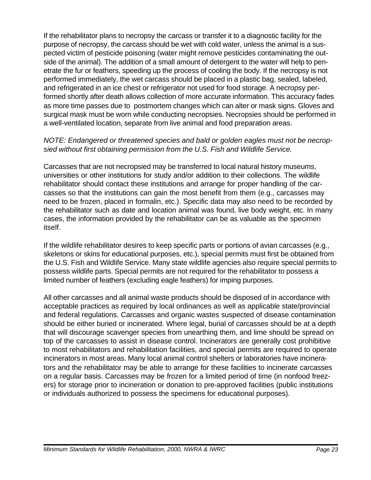If the rehabilitator plans to necropsy the carcass or transfer it to a diagnostic facility for the purpose of necropsy, the carcass should be wet with cold water, unless the animal is a suspected victim of pesticide poisoning (water might remove pesticides contaminating the outside of the animal). The addition of a small amount of detergent to the water will help to penetrate the fur or feathers, speeding up the process of cooling the body. If the necropsy is not performed immediately, the wet carcass should be placed in a plastic bag, sealed, labeled, and refrigerated in an ice chest or refrigerator not used for food storage. A necropsy performed shortly after death allows collection of more accurate information. This accuracy fades as more time passes due to postmortem changes which can alter or mask signs. Gloves and surgical mask must be worn while conducting necropsies. Necropsies should be performed in a well-ventilated location, separate from live animal and food preparation areas.

#### *NOTE: Endangered or threatened species and bald or golden eagles must not be necropsied without first obtaining permission from the U.S. Fish and Wildlife Service.*

Carcasses that are not necropsied may be transferred to local natural history museums, universities or other institutions for study and/or addition to their collections. The wildlife rehabilitator should contact these institutions and arrange for proper handling of the carcasses so that the institutions can gain the most benefit from them (e.g., carcasses may need to be frozen, placed in formalin, etc.). Specific data may also need to be recorded by the rehabilitator such as date and location animal was found, live body weight, etc. In many cases, the information provided by the rehabilitator can be as valuable as the specimen itself.

If the wildlife rehabilitator desires to keep specific parts or portions of avian carcasses (e.g., skeletons or skins for educational purposes, etc.), special permits must first be obtained from the U.S. Fish and Wildlife Service. Many state wildlife agencies also require special permits to possess wildlife parts. Special permits are not required for the rehabilitator to possess a limited number of feathers (excluding eagle feathers) for imping purposes.

All other carcasses and all animal waste products should be disposed of in accordance with acceptable practices as required by local ordinances as well as applicable state/provincial and federal regulations. Carcasses and organic wastes suspected of disease contamination should be either buried or incinerated. Where legal, burial of carcasses should be at a depth that will discourage scavenger species from unearthing them, and lime should be spread on top of the carcasses to assist in disease control. Incinerators are generally cost prohibitive to most rehabilitators and rehabilitation facilities, and special permits are required to operate incinerators in most areas. Many local animal control shelters or laboratories have incinerators and the rehabilitator may be able to arrange for these facilities to incinerate carcasses on a regular basis. Carcasses may be frozen for a limited period of time (in nonfood freezers) for storage prior to incineration or donation to pre-approved facilities (public institutions or individuals authorized to possess the specimens for educational purposes).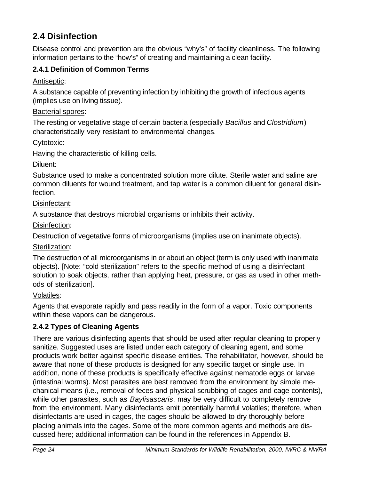# **2.4 Disinfection**

Disease control and prevention are the obvious "why's" of facility cleanliness. The following information pertains to the "how's" of creating and maintaining a clean facility.

#### **2.4.1 Definition of Common Terms**

Antiseptic:

A substance capable of preventing infection by inhibiting the growth of infectious agents (implies use on living tissue).

#### Bacterial spores:

The resting or vegetative stage of certain bacteria (especially *Bacillus* and *Clostridium*) characteristically very resistant to environmental changes.

Cytotoxic:

Having the characteristic of killing cells.

Diluent:

Substance used to make a concentrated solution more dilute. Sterile water and saline are common diluents for wound treatment, and tap water is a common diluent for general disinfection.

Disinfectant:

A substance that destroys microbial organisms or inhibits their activity.

Disinfection:

Destruction of vegetative forms of microorganisms (implies use on inanimate objects).

Sterilization:

The destruction of all microorganisms in or about an object (term is only used with inanimate objects). [Note: "cold sterilization" refers to the specific method of using a disinfectant solution to soak objects, rather than applying heat, pressure, or gas as used in other methods of sterilization].

#### Volatiles:

Agents that evaporate rapidly and pass readily in the form of a vapor. Toxic components within these vapors can be dangerous.

#### **2.4.2 Types of Cleaning Agents**

There are various disinfecting agents that should be used after regular cleaning to properly sanitize. Suggested uses are listed under each category of cleaning agent, and some products work better against specific disease entities. The rehabilitator, however, should be aware that none of these products is designed for any specific target or single use. In addition, none of these products is specifically effective against nematode eggs or larvae (intestinal worms). Most parasites are best removed from the environment by simple mechanical means (i.e., removal of feces and physical scrubbing of cages and cage contents), while other parasites, such as *Baylisascaris*, may be very difficult to completely remove from the environment. Many disinfectants emit potentially harmful volatiles; therefore, when disinfectants are used in cages, the cages should be allowed to dry thoroughly before placing animals into the cages. Some of the more common agents and methods are discussed here; additional information can be found in the references in Appendix B.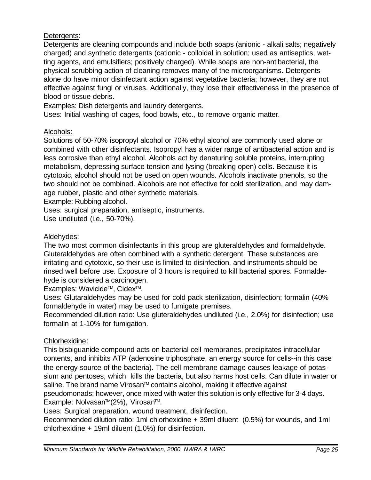Detergents:

Detergents are cleaning compounds and include both soaps (anionic - alkali salts; negatively charged) and synthetic detergents (cationic - colloidal in solution; used as antiseptics, wetting agents, and emulsifiers; positively charged). While soaps are non-antibacterial, the physical scrubbing action of cleaning removes many of the microorganisms. Detergents alone do have minor disinfectant action against vegetative bacteria; however, they are not effective against fungi or viruses. Additionally, they lose their effectiveness in the presence of blood or tissue debris.

Examples: Dish detergents and laundry detergents.

Uses: Initial washing of cages, food bowls, etc., to remove organic matter.

#### Alcohols:

Solutions of 50-70% isopropyl alcohol or 70% ethyl alcohol are commonly used alone or combined with other disinfectants. Isopropyl has a wider range of antibacterial action and is less corrosive than ethyl alcohol. Alcohols act by denaturing soluble proteins, interrupting metabolism, depressing surface tension and lysing (breaking open) cells. Because it is cytotoxic, alcohol should not be used on open wounds. Alcohols inactivate phenols, so the two should not be combined. Alcohols are not effective for cold sterilization, and may damage rubber, plastic and other synthetic materials.

Example: Rubbing alcohol.

Uses: surgical preparation, antiseptic, instruments.

Use undiluted (i.e., 50-70%).

#### Aldehydes:

The two most common disinfectants in this group are gluteraldehydes and formaldehyde. Gluteraldehydes are often combined with a synthetic detergent. These substances are irritating and cytotoxic, so their use is limited to disinfection, and instruments should be rinsed well before use. Exposure of 3 hours is required to kill bacterial spores. Formaldehyde is considered a carcinogen.

Examples: Wavicide™, Cidex™.

Uses: Glutaraldehydes may be used for cold pack sterilization, disinfection; formalin (40% formaldehyde in water) may be used to fumigate premises.

Recommended dilution ratio: Use gluteraldehydes undiluted (i.e., 2.0%) for disinfection; use formalin at 1-10% for fumigation.

#### Chlorhexidine:

This bisbiguanide compound acts on bacterial cell membranes, precipitates intracellular contents, and inhibits ATP (adenosine triphosphate, an energy source for cells--in this case the energy source of the bacteria). The cell membrane damage causes leakage of potassium and pentoses, which kills the bacteria, but also harms host cells. Can dilute in water or saline. The brand name Virosan™ contains alcohol, making it effective against pseudomonads; however, once mixed with water this solution is only effective for 3-4 days. Example: Nolvasan™(2%), Virosan™.

Uses: Surgical preparation, wound treatment, disinfection.

Recommended dilution ratio: 1ml chlorhexidine + 39ml diluent (0.5%) for wounds, and 1ml chlorhexidine + 19ml diluent (1.0%) for disinfection.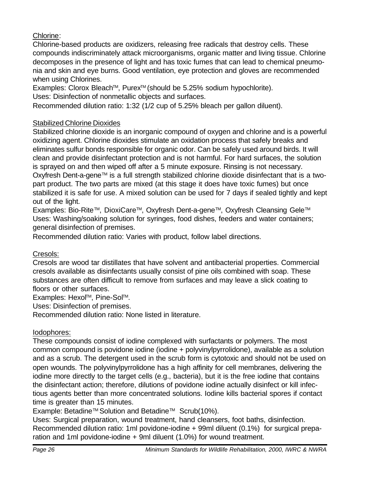#### Chlorine:

Chlorine-based products are oxidizers, releasing free radicals that destroy cells. These compounds indiscriminately attack microorganisms, organic matter and living tissue. Chlorine decomposes in the presence of light and has toxic fumes that can lead to chemical pneumonia and skin and eye burns. Good ventilation, eye protection and gloves are recommended when using Chlorines.

Examples: Clorox Bleach™, Purex™ (should be 5.25% sodium hypochlorite).

Uses: Disinfection of nonmetallic objects and surfaces.

Recommended dilution ratio: 1:32 (1/2 cup of 5.25% bleach per gallon diluent).

#### Stabilized Chlorine Dioxides

Stabilized chlorine dioxide is an inorganic compound of oxygen and chlorine and is a powerful oxidizing agent. Chlorine dioxides stimulate an oxidation process that safely breaks and eliminates sulfur bonds responsible for organic odor. Can be safely used around birds. It will clean and provide disinfectant protection and is not harmful. For hard surfaces, the solution is sprayed on and then wiped off after a 5 minute exposure. Rinsing is not necessary. Oxyfresh Dent-a-gene™ is a full strength stabilized chlorine dioxide disinfectant that is a twopart product. The two parts are mixed (at this stage it does have toxic fumes) but once stabilized it is safe for use. A mixed solution can be used for 7 days if sealed tightly and kept out of the light.

Examples: Bio-Rite™, DioxiCare™, Oxyfresh Dent-a-gene™, Oxyfresh Cleansing Gele™ Uses: Washing/soaking solution for syringes, food dishes, feeders and water containers; general disinfection of premises.

Recommended dilution ratio: Varies with product, follow label directions.

#### Cresols:

Cresols are wood tar distillates that have solvent and antibacterial properties. Commercial cresols available as disinfectants usually consist of pine oils combined with soap. These substances are often difficult to remove from surfaces and may leave a slick coating to floors or other surfaces.

Examples: Hexol™, Pine-Sol™.

Uses: Disinfection of premises.

Recommended dilution ratio: None listed in literature.

#### Iodophores:

These compounds consist of iodine complexed with surfactants or polymers. The most common compound is povidone iodine (iodine + polyvinylpyrrolidone), available as a solution and as a scrub. The detergent used in the scrub form is cytotoxic and should not be used on open wounds. The polyvinylpyrrolidone has a high affinity for cell membranes, delivering the iodine more directly to the target cells (e.g., bacteria), but it is the free iodine that contains the disinfectant action; therefore, dilutions of povidone iodine actually disinfect or kill infectious agents better than more concentrated solutions. Iodine kills bacterial spores if contact time is greater than 15 minutes.

Example: Betadine™ Solution and Betadine™ Scrub(10%).

Uses: Surgical preparation, wound treatment, hand cleansers, foot baths, disinfection. Recommended dilution ratio: 1ml povidone-iodine + 99ml diluent (0.1%) for surgical preparation and 1ml povidone-iodine + 9ml diluent (1.0%) for wound treatment.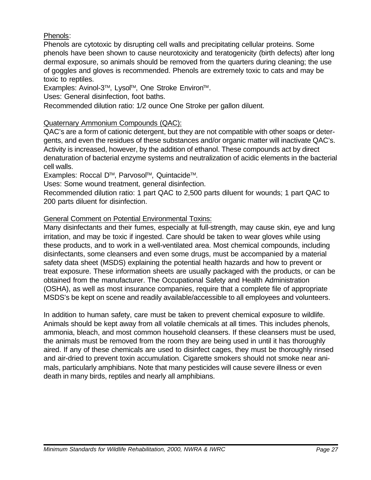#### Phenols:

Phenols are cytotoxic by disrupting cell walls and precipitating cellular proteins. Some phenols have been shown to cause neurotoxicity and teratogenicity (birth defects) after long dermal exposure, so animals should be removed from the quarters during cleaning; the use of goggles and gloves is recommended. Phenols are extremely toxic to cats and may be toxic to reptiles.

Examples: Avinol-3™, Lysol™, One Stroke Environ™.

Uses: General disinfection, foot baths.

Recommended dilution ratio: 1/2 ounce One Stroke per gallon diluent.

#### Quaternary Ammonium Compounds (QAC):

QAC's are a form of cationic detergent, but they are not compatible with other soaps or detergents, and even the residues of these substances and/or organic matter will inactivate QAC's. Activity is increased, however, by the addition of ethanol. These compounds act by direct denaturation of bacterial enzyme systems and neutralization of acidic elements in the bacterial cell walls.

Examples: Roccal D™, Parvosol™, Quintacide™.

Uses: Some wound treatment, general disinfection.

Recommended dilution ratio: 1 part QAC to 2,500 parts diluent for wounds; 1 part QAC to 200 parts diluent for disinfection.

#### General Comment on Potential Environmental Toxins:

Many disinfectants and their fumes, especially at full-strength, may cause skin, eye and lung irritation, and may be toxic if ingested. Care should be taken to wear gloves while using these products, and to work in a well-ventilated area. Most chemical compounds, including disinfectants, some cleansers and even some drugs, must be accompanied by a material safety data sheet (MSDS) explaining the potential health hazards and how to prevent or treat exposure. These information sheets are usually packaged with the products, or can be obtained from the manufacturer. The Occupational Safety and Health Administration (OSHA), as well as most insurance companies, require that a complete file of appropriate MSDS's be kept on scene and readily available/accessible to all employees and volunteers.

In addition to human safety, care must be taken to prevent chemical exposure to wildlife. Animals should be kept away from all volatile chemicals at all times. This includes phenols, ammonia, bleach, and most common household cleansers. If these cleansers must be used, the animals must be removed from the room they are being used in until it has thoroughly aired. If any of these chemicals are used to disinfect cages, they must be thoroughly rinsed and air-dried to prevent toxin accumulation. Cigarette smokers should not smoke near animals, particularly amphibians. Note that many pesticides will cause severe illness or even death in many birds, reptiles and nearly all amphibians.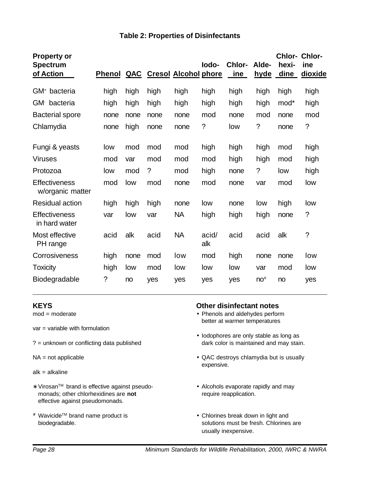| <b>Property or</b><br><b>Spectrum</b><br>of Action | <b>Phenol</b> | <u>QAC</u> |      | <b>Cresol Alcohol phore</b> | lodo-        | Chlor-<br>ine | Alde-<br><u>hyde</u> | Chlor-<br>hexi-<br>dine | Chlor-<br>ine<br>dioxide |
|----------------------------------------------------|---------------|------------|------|-----------------------------|--------------|---------------|----------------------|-------------------------|--------------------------|
| GM <sup>+</sup> bacteria                           | high          | high       | high | high                        | high         | high          | high                 | high                    | high                     |
| GM <sup>-</sup><br>bacteria                        | high          | high       | high | high                        | high         | high          | high                 | mod*                    | high                     |
| <b>Bacterial spore</b>                             | none          | none       | none | none                        | mod          | none          | mod                  | none                    | mod                      |
| Chlamydia                                          | none          | high       | none | none                        | $\tilde{?}$  | low           | ?                    | none                    | $\tilde{?}$              |
| Fungi & yeasts                                     | low           | mod        | mod  | mod                         | high         | high          | high                 | mod                     | high                     |
| <b>Viruses</b>                                     | mod           | var        | mod  | mod                         | mod          | high          | high                 | mod                     | high                     |
| Protozoa                                           | low           | mod        | ?    | mod                         | high         | none          | $\ddot{?}$           | low                     | high                     |
| <b>Effectiveness</b><br>w/organic matter           | mod           | low        | mod  | none                        | mod          | none          | var                  | mod                     | low                      |
| <b>Residual action</b>                             | high          | high       | high | none                        | low          | none          | low                  | high                    | low                      |
| <b>Effectiveness</b><br>in hard water              | var           | low        | var  | <b>NA</b>                   | high         | high          | high                 | none                    | $\tilde{?}$              |
| Most effective<br>PH range                         | acid          | alk        | acid | <b>NA</b>                   | acid/<br>alk | acid          | acid                 | alk                     | $\ddot{?}$               |
| Corrosiveness                                      | high          | none       | mod  | low                         | mod          | high          | none                 | none                    | low                      |
| <b>Toxicity</b>                                    | high          | low        | mod  | low                         | low          | low           | var                  | mod                     | low                      |
| Biodegradable                                      | $\ddot{?}$    | no         | yes  | yes                         | yes          | yes           | $no*$                | no                      | yes                      |

- var = variable with formulation
- 
- 
- alk = alkaline
- ∗ VirosanTM brand is effective against pseudo- Alcohols evaporate rapidly and may monads; other chlorhexidines are **not** require reapplication. effective against pseudomonads.
- # WavicideTM brand name product is Chlorines break down in light and

#### **KEYS Other disinfectant notes**

- mod = moderate  **Phenols and aldehydes perform** better at warmer temperatures
- Iodophores are only stable as long as ? = unknown or conflicting data published dark color is maintained and may stain.
- NA = not applicable  $\bullet$  QAC destroys chlamydia but is usually expensive.
	-
	- biodegradable. Solutions must be fresh. Chlorines are solutions must be fresh. Chlorines are usually inexpensive.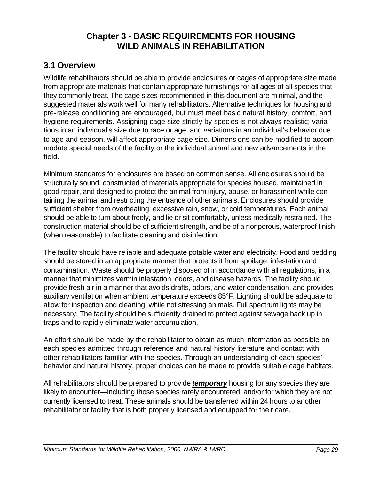# **Chapter 3 - BASIC REQUIREMENTS FOR HOUSING WILD ANIMALS IN REHABILITATION**

#### **3.1 Overview**

Wildlife rehabilitators should be able to provide enclosures or cages of appropriate size made from appropriate materials that contain appropriate furnishings for all ages of all species that they commonly treat. The cage sizes recommended in this document are minimal, and the suggested materials work well for many rehabilitators. Alternative techniques for housing and pre-release conditioning are encouraged, but must meet basic natural history, comfort, and hygiene requirements. Assigning cage size strictly by species is not always realistic; variations in an individual's size due to race or age, and variations in an individual's behavior due to age and season, will affect appropriate cage size. Dimensions can be modified to accommodate special needs of the facility or the individual animal and new advancements in the field.

Minimum standards for enclosures are based on common sense. All enclosures should be structurally sound, constructed of materials appropriate for species housed, maintained in good repair, and designed to protect the animal from injury, abuse, or harassment while containing the animal and restricting the entrance of other animals. Enclosures should provide sufficient shelter from overheating, excessive rain, snow, or cold temperatures. Each animal should be able to turn about freely, and lie or sit comfortably, unless medically restrained. The construction material should be of sufficient strength, and be of a nonporous, waterproof finish (when reasonable) to facilitate cleaning and disinfection.

The facility should have reliable and adequate potable water and electricity. Food and bedding should be stored in an appropriate manner that protects it from spoilage, infestation and contamination. Waste should be properly disposed of in accordance with all regulations, in a manner that minimizes vermin infestation, odors, and disease hazards. The facility should provide fresh air in a manner that avoids drafts, odors, and water condensation, and provides auxiliary ventilation when ambient temperature exceeds 85°F. Lighting should be adequate to allow for inspection and cleaning, while not stressing animals. Full spectrum lights may be necessary. The facility should be sufficiently drained to protect against sewage back up in traps and to rapidly eliminate water accumulation.

An effort should be made by the rehabilitator to obtain as much information as possible on each species admitted through reference and natural history literature and contact with other rehabilitators familiar with the species. Through an understanding of each species' behavior and natural history, proper choices can be made to provide suitable cage habitats.

All rehabilitators should be prepared to provide *temporary* housing for any species they are likely to encounter—including those species rarely encountered, and/or for which they are not currently licensed to treat. These animals should be transferred within 24 hours to another rehabilitator or facility that is both properly licensed and equipped for their care.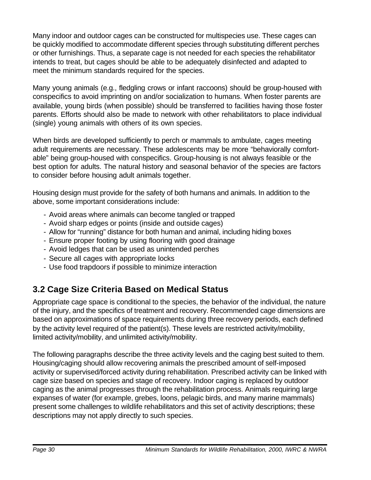Many indoor and outdoor cages can be constructed for multispecies use. These cages can be quickly modified to accommodate different species through substituting different perches or other furnishings. Thus, a separate cage is not needed for each species the rehabilitator intends to treat, but cages should be able to be adequately disinfected and adapted to meet the minimum standards required for the species.

Many young animals (e.g., fledgling crows or infant raccoons) should be group-housed with conspecifics to avoid imprinting on and/or socialization to humans. When foster parents are available, young birds (when possible) should be transferred to facilities having those foster parents. Efforts should also be made to network with other rehabilitators to place individual (single) young animals with others of its own species.

When birds are developed sufficiently to perch or mammals to ambulate, cages meeting adult requirements are necessary. These adolescents may be more "behaviorally comfortable" being group-housed with conspecifics. Group-housing is not always feasible or the best option for adults. The natural history and seasonal behavior of the species are factors to consider before housing adult animals together.

Housing design must provide for the safety of both humans and animals. In addition to the above, some important considerations include:

- Avoid areas where animals can become tangled or trapped
- Avoid sharp edges or points (inside and outside cages)
- Allow for "running" distance for both human and animal, including hiding boxes
- Ensure proper footing by using flooring with good drainage
- Avoid ledges that can be used as unintended perches
- Secure all cages with appropriate locks
- Use food trapdoors if possible to minimize interaction

# **3.2 Cage Size Criteria Based on Medical Status**

Appropriate cage space is conditional to the species, the behavior of the individual, the nature of the injury, and the specifics of treatment and recovery. Recommended cage dimensions are based on approximations of space requirements during three recovery periods, each defined by the activity level required of the patient(s). These levels are restricted activity/mobility, limited activity/mobility, and unlimited activity/mobility.

The following paragraphs describe the three activity levels and the caging best suited to them. Housing/caging should allow recovering animals the prescribed amount of self-imposed activity or supervised/forced activity during rehabilitation. Prescribed activity can be linked with cage size based on species and stage of recovery. Indoor caging is replaced by outdoor caging as the animal progresses through the rehabilitation process. Animals requiring large expanses of water (for example, grebes, loons, pelagic birds, and many marine mammals) present some challenges to wildlife rehabilitators and this set of activity descriptions; these descriptions may not apply directly to such species.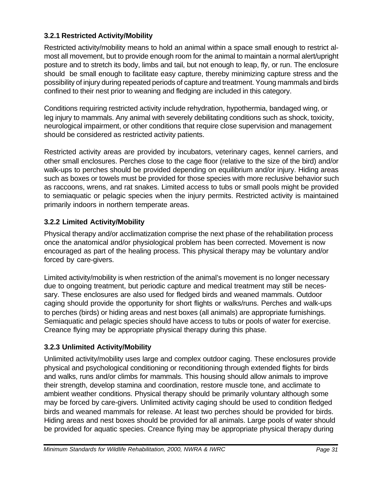#### **3.2.1 Restricted Activity/Mobility**

Restricted activity/mobility means to hold an animal within a space small enough to restrict almost all movement, but to provide enough room for the animal to maintain a normal alert/upright posture and to stretch its body, limbs and tail, but not enough to leap, fly, or run. The enclosure should be small enough to facilitate easy capture, thereby minimizing capture stress and the possibility of injury during repeated periods of capture and treatment. Young mammals and birds confined to their nest prior to weaning and fledging are included in this category.

Conditions requiring restricted activity include rehydration, hypothermia, bandaged wing, or leg injury to mammals. Any animal with severely debilitating conditions such as shock, toxicity, neurological impairment, or other conditions that require close supervision and management should be considered as restricted activity patients.

Restricted activity areas are provided by incubators, veterinary cages, kennel carriers, and other small enclosures. Perches close to the cage floor (relative to the size of the bird) and/or walk-ups to perches should be provided depending on equilibrium and/or injury. Hiding areas such as boxes or towels must be provided for those species with more reclusive behavior such as raccoons, wrens, and rat snakes. Limited access to tubs or small pools might be provided to semiaquatic or pelagic species when the injury permits. Restricted activity is maintained primarily indoors in northern temperate areas.

#### **3.2.2 Limited Activity/Mobility**

Physical therapy and/or acclimatization comprise the next phase of the rehabilitation process once the anatomical and/or physiological problem has been corrected. Movement is now encouraged as part of the healing process. This physical therapy may be voluntary and/or forced by care-givers.

Limited activity/mobility is when restriction of the animal's movement is no longer necessary due to ongoing treatment, but periodic capture and medical treatment may still be necessary. These enclosures are also used for fledged birds and weaned mammals. Outdoor caging should provide the opportunity for short flights or walks/runs. Perches and walk-ups to perches (birds) or hiding areas and nest boxes (all animals) are appropriate furnishings. Semiaquatic and pelagic species should have access to tubs or pools of water for exercise. Creance flying may be appropriate physical therapy during this phase.

#### **3.2.3 Unlimited Activity/Mobility**

Unlimited activity/mobility uses large and complex outdoor caging. These enclosures provide physical and psychological conditioning or reconditioning through extended flights for birds and walks, runs and/or climbs for mammals. This housing should allow animals to improve their strength, develop stamina and coordination, restore muscle tone, and acclimate to ambient weather conditions. Physical therapy should be primarily voluntary although some may be forced by care-givers. Unlimited activity caging should be used to condition fledged birds and weaned mammals for release. At least two perches should be provided for birds. Hiding areas and nest boxes should be provided for all animals. Large pools of water should be provided for aquatic species. Creance flying may be appropriate physical therapy during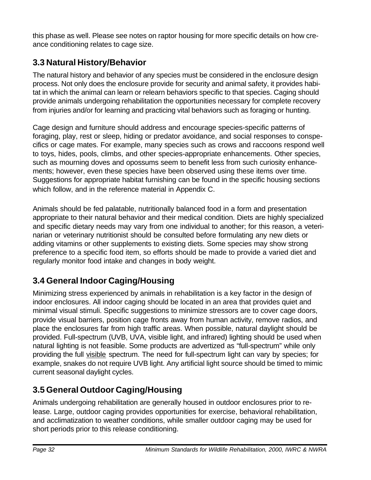this phase as well. Please see notes on raptor housing for more specific details on how creance conditioning relates to cage size.

# **3.3 Natural History/Behavior**

The natural history and behavior of any species must be considered in the enclosure design process. Not only does the enclosure provide for security and animal safety, it provides habitat in which the animal can learn or relearn behaviors specific to that species. Caging should provide animals undergoing rehabilitation the opportunities necessary for complete recovery from injuries and/or for learning and practicing vital behaviors such as foraging or hunting.

Cage design and furniture should address and encourage species-specific patterns of foraging, play, rest or sleep, hiding or predator avoidance, and social responses to conspecifics or cage mates. For example, many species such as crows and raccoons respond well to toys, hides, pools, climbs, and other species-appropriate enhancements. Other species, such as mourning doves and opossums seem to benefit less from such curiosity enhancements; however, even these species have been observed using these items over time. Suggestions for appropriate habitat furnishing can be found in the specific housing sections which follow, and in the reference material in Appendix C.

Animals should be fed palatable, nutritionally balanced food in a form and presentation appropriate to their natural behavior and their medical condition. Diets are highly specialized and specific dietary needs may vary from one individual to another; for this reason, a veterinarian or veterinary nutritionist should be consulted before formulating any new diets or adding vitamins or other supplements to existing diets. Some species may show strong preference to a specific food item, so efforts should be made to provide a varied diet and regularly monitor food intake and changes in body weight.

# **3.4 General Indoor Caging/Housing**

Minimizing stress experienced by animals in rehabilitation is a key factor in the design of indoor enclosures. All indoor caging should be located in an area that provides quiet and minimal visual stimuli. Specific suggestions to minimize stressors are to cover cage doors, provide visual barriers, position cage fronts away from human activity, remove radios, and place the enclosures far from high traffic areas. When possible, natural daylight should be provided. Full-spectrum (UVB, UVA, visible light, and infrared) lighting should be used when natural lighting is not feasible. Some products are advertized as "full-spectrum" while only providing the full visible spectrum. The need for full-spectrum light can vary by species; for example, snakes do not require UVB light. Any artificial light source should be timed to mimic current seasonal daylight cycles.

# **3.5 General Outdoor Caging/Housing**

Animals undergoing rehabilitation are generally housed in outdoor enclosures prior to release. Large, outdoor caging provides opportunities for exercise, behavioral rehabilitation, and acclimatization to weather conditions, while smaller outdoor caging may be used for short periods prior to this release conditioning.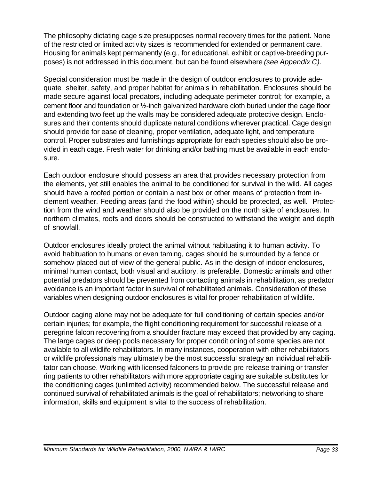The philosophy dictating cage size presupposes normal recovery times for the patient. None of the restricted or limited activity sizes is recommended for extended or permanent care. Housing for animals kept permanently (e.g., for educational, exhibit or captive-breeding purposes) is not addressed in this document, but can be found elsewhere *(see Appendix C).*

Special consideration must be made in the design of outdoor enclosures to provide adequate shelter, safety, and proper habitat for animals in rehabilitation. Enclosures should be made secure against local predators, including adequate perimeter control; for example, a cement floor and foundation or ½-inch galvanized hardware cloth buried under the cage floor and extending two feet up the walls may be considered adequate protective design. Enclosures and their contents should duplicate natural conditions wherever practical. Cage design should provide for ease of cleaning, proper ventilation, adequate light, and temperature control. Proper substrates and furnishings appropriate for each species should also be provided in each cage. Fresh water for drinking and/or bathing must be available in each enclosure.

Each outdoor enclosure should possess an area that provides necessary protection from the elements, yet still enables the animal to be conditioned for survival in the wild. All cages should have a roofed portion or contain a nest box or other means of protection from inclement weather. Feeding areas (and the food within) should be protected, as well. Protection from the wind and weather should also be provided on the north side of enclosures. In northern climates, roofs and doors should be constructed to withstand the weight and depth of snowfall.

Outdoor enclosures ideally protect the animal without habituating it to human activity. To avoid habituation to humans or even taming, cages should be surrounded by a fence or somehow placed out of view of the general public. As in the design of indoor enclosures, minimal human contact, both visual and auditory, is preferable. Domestic animals and other potential predators should be prevented from contacting animals in rehabilitation, as predator avoidance is an important factor in survival of rehabilitated animals. Consideration of these variables when designing outdoor enclosures is vital for proper rehabilitation of wildlife.

Outdoor caging alone may not be adequate for full conditioning of certain species and/or certain injuries; for example, the flight conditioning requirement for successful release of a peregrine falcon recovering from a shoulder fracture may exceed that provided by any caging. The large cages or deep pools necessary for proper conditioning of some species are not available to all wildlife rehabilitators. In many instances, cooperation with other rehabilitators or wildlife professionals may ultimately be the most successful strategy an individual rehabilitator can choose. Working with licensed falconers to provide pre-release training or transferring patients to other rehabilitators with more appropriate caging are suitable substitutes for the conditioning cages (unlimited activity) recommended below. The successful release and continued survival of rehabilitated animals is the goal of rehabilitators; networking to share information, skills and equipment is vital to the success of rehabilitation.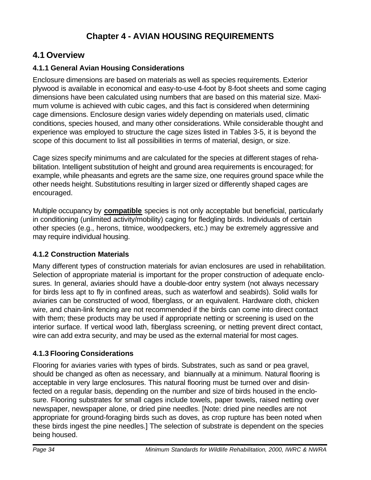# **4.1 Overview**

#### **4.1.1 General Avian Housing Considerations**

Enclosure dimensions are based on materials as well as species requirements. Exterior plywood is available in economical and easy-to-use 4-foot by 8-foot sheets and some caging dimensions have been calculated using numbers that are based on this material size. Maximum volume is achieved with cubic cages, and this fact is considered when determining cage dimensions. Enclosure design varies widely depending on materials used, climatic conditions, species housed, and many other considerations. While considerable thought and experience was employed to structure the cage sizes listed in Tables 3-5, it is beyond the scope of this document to list all possibilities in terms of material, design, or size.

Cage sizes specify minimums and are calculated for the species at different stages of rehabilitation. Intelligent substitution of height and ground area requirements is encouraged; for example, while pheasants and egrets are the same size, one requires ground space while the other needs height. Substitutions resulting in larger sized or differently shaped cages are encouraged.

Multiple occupancy by **compatible** species is not only acceptable but beneficial, particularly in conditioning (unlimited activity/mobility) caging for fledgling birds. Individuals of certain other species (e.g., herons, titmice, woodpeckers, etc.) may be extremely aggressive and may require individual housing.

#### **4.1.2 Construction Materials**

Many different types of construction materials for avian enclosures are used in rehabilitation. Selection of appropriate material is important for the proper construction of adequate enclosures. In general, aviaries should have a double-door entry system (not always necessary for birds less apt to fly in confined areas, such as waterfowl and seabirds). Solid walls for aviaries can be constructed of wood, fiberglass, or an equivalent. Hardware cloth, chicken wire, and chain-link fencing are not recommended if the birds can come into direct contact with them; these products may be used if appropriate netting or screening is used on the interior surface. If vertical wood lath, fiberglass screening, or netting prevent direct contact, wire can add extra security, and may be used as the external material for most cages.

#### **4.1.3 Flooring Considerations**

Flooring for aviaries varies with types of birds. Substrates, such as sand or pea gravel, should be changed as often as necessary, and biannually at a minimum. Natural flooring is acceptable in very large enclosures. This natural flooring must be turned over and disinfected on a regular basis, depending on the number and size of birds housed in the enclosure. Flooring substrates for small cages include towels, paper towels, raised netting over newspaper, newspaper alone, or dried pine needles. [Note: dried pine needles are not appropriate for ground-foraging birds such as doves, as crop rupture has been noted when these birds ingest the pine needles.] The selection of substrate is dependent on the species being housed.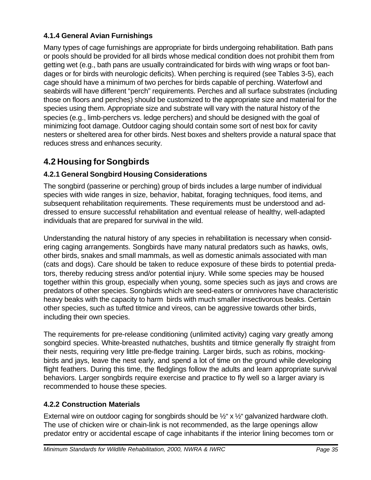#### **4.1.4 General Avian Furnishings**

Many types of cage furnishings are appropriate for birds undergoing rehabilitation. Bath pans or pools should be provided for all birds whose medical condition does not prohibit them from getting wet (e.g., bath pans are usually contraindicated for birds with wing wraps or foot bandages or for birds with neurologic deficits). When perching is required (see Tables 3-5), each cage should have a minimum of two perches for birds capable of perching. Waterfowl and seabirds will have different "perch" requirements. Perches and all surface substrates (including those on floors and perches) should be customized to the appropriate size and material for the species using them. Appropriate size and substrate will vary with the natural history of the species (e.g., limb-perchers vs. ledge perchers) and should be designed with the goal of minimizing foot damage. Outdoor caging should contain some sort of nest box for cavity nesters or sheltered area for other birds. Nest boxes and shelters provide a natural space that reduces stress and enhances security.

# **4.2 Housing for Songbirds**

### **4.2.1 General Songbird Housing Considerations**

The songbird (passerine or perching) group of birds includes a large number of individual species with wide ranges in size, behavior, habitat, foraging techniques, food items, and subsequent rehabilitation requirements. These requirements must be understood and addressed to ensure successful rehabilitation and eventual release of healthy, well-adapted individuals that are prepared for survival in the wild.

Understanding the natural history of any species in rehabilitation is necessary when considering caging arrangements. Songbirds have many natural predators such as hawks, owls, other birds, snakes and small mammals, as well as domestic animals associated with man (cats and dogs). Care should be taken to reduce exposure of these birds to potential predators, thereby reducing stress and/or potential injury. While some species may be housed together within this group, especially when young, some species such as jays and crows are predators of other species. Songbirds which are seed-eaters or omnivores have characteristic heavy beaks with the capacity to harm birds with much smaller insectivorous beaks. Certain other species, such as tufted titmice and vireos, can be aggressive towards other birds, including their own species.

The requirements for pre-release conditioning (unlimited activity) caging vary greatly among songbird species. White-breasted nuthatches, bushtits and titmice generally fly straight from their nests, requiring very little pre-fledge training. Larger birds, such as robins, mockingbirds and jays, leave the nest early, and spend a lot of time on the ground while developing flight feathers. During this time, the fledglings follow the adults and learn appropriate survival behaviors. Larger songbirds require exercise and practice to fly well so a larger aviary is recommended to house these species.

#### **4.2.2 Construction Materials**

External wire on outdoor caging for songbirds should be  $\frac{1}{2}$ " x  $\frac{1}{2}$ " galvanized hardware cloth. The use of chicken wire or chain-link is not recommended, as the large openings allow predator entry or accidental escape of cage inhabitants if the interior lining becomes torn or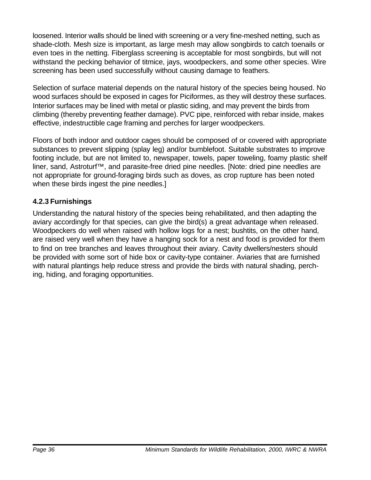loosened. Interior walls should be lined with screening or a very fine-meshed netting, such as shade-cloth. Mesh size is important, as large mesh may allow songbirds to catch toenails or even toes in the netting. Fiberglass screening is acceptable for most songbirds, but will not withstand the pecking behavior of titmice, jays, woodpeckers, and some other species. Wire screening has been used successfully without causing damage to feathers.

Selection of surface material depends on the natural history of the species being housed. No wood surfaces should be exposed in cages for Piciformes, as they will destroy these surfaces. Interior surfaces may be lined with metal or plastic siding, and may prevent the birds from climbing (thereby preventing feather damage). PVC pipe, reinforced with rebar inside, makes effective, indestructible cage framing and perches for larger woodpeckers.

Floors of both indoor and outdoor cages should be composed of or covered with appropriate substances to prevent slipping (splay leg) and/or bumblefoot. Suitable substrates to improve footing include, but are not limited to, newspaper, towels, paper toweling, foamy plastic shelf liner, sand, Astroturf™, and parasite-free dried pine needles. [Note: dried pine needles are not appropriate for ground-foraging birds such as doves, as crop rupture has been noted when these birds ingest the pine needles.]

#### **4.2.3 Furnishings**

Understanding the natural history of the species being rehabilitated, and then adapting the aviary accordingly for that species, can give the bird(s) a great advantage when released. Woodpeckers do well when raised with hollow logs for a nest; bushtits, on the other hand, are raised very well when they have a hanging sock for a nest and food is provided for them to find on tree branches and leaves throughout their aviary. Cavity dwellers/nesters should be provided with some sort of hide box or cavity-type container. Aviaries that are furnished with natural plantings help reduce stress and provide the birds with natural shading, perching, hiding, and foraging opportunities.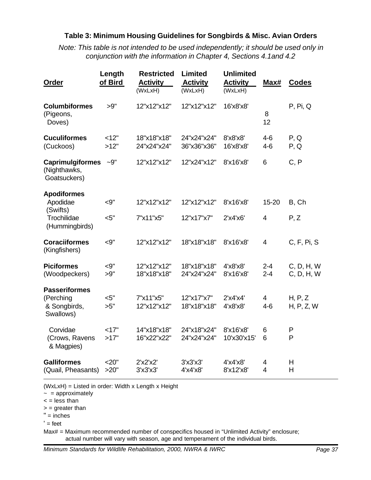#### **Table 3: Minimum Housing Guidelines for Songbirds & Misc. Avian Orders**

*Note: This table is not intended to be used independently; it should be used only in conjunction with the information in Chapter 4, Sections 4.1and 4.2*

| Order                                                   | Length<br>of Bird | <b>Restricted</b><br><b>Activity</b><br>(WxLxH) | Limited<br><b>Activity</b><br>(WxLxH) | <b>Unlimited</b><br><b>Activity</b><br>(WxLxH) | Max#                      | <b>Codes</b>             |
|---------------------------------------------------------|-------------------|-------------------------------------------------|---------------------------------------|------------------------------------------------|---------------------------|--------------------------|
| <b>Columbiformes</b><br>(Pigeons,<br>Doves)             | >9"               | 12"x12"x12"                                     | 12"x12"x12"                           | 16'x8'x8'                                      | 8<br>12                   | P, Pi, Q                 |
| <b>Cuculiformes</b><br>(Cuckoos)                        | <12"<br>>12"      | 18"x18"x18"<br>24"x24"x24"                      | 24"x24"x24"<br>36"x36"x36"            | 8'x8'x8'<br>16'x8'x8'                          | $4-6$<br>$4-6$            | P, Q<br>P, Q             |
| <b>Caprimulgiformes</b><br>(Nighthawks,<br>Goatsuckers) | $-9"$             | 12"x12"x12"                                     | 12"x24"x12"                           | 8'x16'x8'                                      | 6                         | C, P                     |
| <b>Apodiformes</b>                                      |                   |                                                 |                                       |                                                |                           |                          |
| Apodidae<br>(Swifts)                                    | $-9"$             | 12"x12"x12"                                     | 12"x12"x12"                           | 8'x16'x8'                                      | 15-20                     | B, Ch                    |
| Trochilidae<br>(Hummingbirds)                           | $<$ 5"            | 7"x11"x5"                                       | 12"x17"x7"                            | $2'$ x4'x6'                                    | $\overline{\mathcal{A}}$  | P, Z                     |
| <b>Coraciiformes</b><br>(Kingfishers)                   | $<$ 9"            | 12"x12"x12"                                     | 18"x18"x18"                           | 8'x16'x8'                                      | $\overline{4}$            | C, F, Pi, S              |
| <b>Piciformes</b><br>(Woodpeckers)                      | $<$ 9"<br>>9"     | 12"x12"x12"<br>18"x18"x18"                      | 18"x18"x18"<br>24"x24"x24"            | 4'x8'x8'<br>8'x16'x8'                          | $2 - 4$<br>$2 - 4$        | C, D, H, W<br>C, D, H, W |
| <b>Passeriformes</b>                                    |                   |                                                 |                                       |                                                |                           |                          |
| (Perching<br>& Songbirds,<br>Swallows)                  | $<$ 5"<br>>5"     | 7"x11"x5"<br>12"x12"x12"                        | 12"x17"x7"<br>18"x18"x18"             | 2'x4'x4'<br>4'x8'x8'                           | $\overline{4}$<br>$4 - 6$ | H, P, Z<br>H, P, Z, W    |
| Corvidae                                                | <17"              | 14"x18"x18"                                     | 24"x18"x24"                           | 8'x16'x8'                                      | 6                         | P                        |
| (Crows, Ravens<br>& Magpies)                            | >17"              | 16"x22"x22"                                     | 24"x24"x24"                           | 10'x30'x15'                                    | 6                         | P                        |
| <b>Galliformes</b>                                      | 20"               | 2'x2'x2'                                        | $3'$ x $3'$ x $3'$                    | 4'x4'x8'                                       | 4                         | Н                        |
| (Quail, Pheasants)                                      | >20"              | 3'x3'x3'                                        | 4'x4'x8'                              | 8'x12'x8'                                      | $\overline{4}$            | Н                        |

(WxLxH) = Listed in order: Width x Length x Height

 $\sim$  = approximately

 $\le$  = less than

 $=$  greater than

" = inches

 $'$  = feet

Max# = Maximum recommended number of conspecifics housed in "Unlimited Activity" enclosure; actual number will vary with season, age and temperament of the individual birds.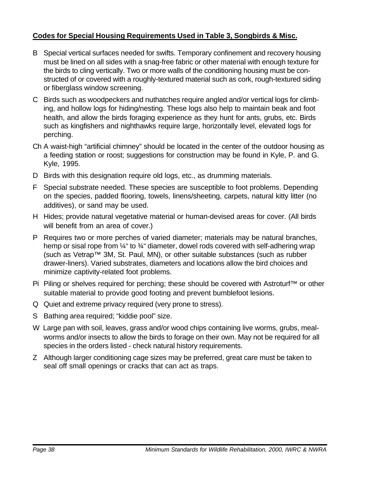#### **Codes for Special Housing Requirements Used in Table 3, Songbirds & Misc.**

- B Special vertical surfaces needed for swifts. Temporary confinement and recovery housing must be lined on all sides with a snag-free fabric or other material with enough texture for the birds to cling vertically. Two or more walls of the conditioning housing must be constructed of or covered with a roughly-textured material such as cork, rough-textured siding or fiberglass window screening.
- C Birds such as woodpeckers and nuthatches require angled and/or vertical logs for climbing, and hollow logs for hiding/nesting. These logs also help to maintain beak and foot health, and allow the birds foraging experience as they hunt for ants, grubs, etc. Birds such as kingfishers and nighthawks require large, horizontally level, elevated logs for perching.
- Ch A waist-high "artificial chimney" should be located in the center of the outdoor housing as a feeding station or roost; suggestions for construction may be found in Kyle, P. and G. Kyle, 1995.
- D Birds with this designation require old logs, etc., as drumming materials.
- F Special substrate needed. These species are susceptible to foot problems. Depending on the species, padded flooring, towels, linens/sheeting, carpets, natural kitty litter (no additives), or sand may be used.
- H Hides; provide natural vegetative material or human-devised areas for cover. (All birds will benefit from an area of cover.)
- P Requires two or more perches of varied diameter; materials may be natural branches, hemp or sisal rope from  $\frac{1}{4}$ " to  $\frac{3}{4}$ " diameter, dowel rods covered with self-adhering wrap (such as Vetrap™ 3M, St. Paul, MN), or other suitable substances (such as rubber drawer-liners). Varied substrates, diameters and locations allow the bird choices and minimize captivity-related foot problems.
- Pi Piling or shelves required for perching; these should be covered with Astroturf™ or other suitable material to provide good footing and prevent bumblefoot lesions.
- Q Quiet and extreme privacy required (very prone to stress).
- S Bathing area required; "kiddie pool" size.
- W Large pan with soil, leaves, grass and/or wood chips containing live worms, grubs, mealworms and/or insects to allow the birds to forage on their own. May not be required for all species in the orders listed - check natural history requirements.
- Z Although larger conditioning cage sizes may be preferred, great care must be taken to seal off small openings or cracks that can act as traps.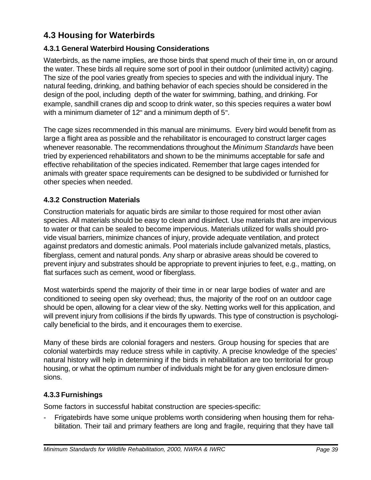## **4.3 Housing for Waterbirds**

#### **4.3.1 General Waterbird Housing Considerations**

Waterbirds, as the name implies, are those birds that spend much of their time in, on or around the water. These birds all require some sort of pool in their outdoor (unlimited activity) caging. The size of the pool varies greatly from species to species and with the individual injury. The natural feeding, drinking, and bathing behavior of each species should be considered in the design of the pool, including depth of the water for swimming, bathing, and drinking. For example, sandhill cranes dip and scoop to drink water, so this species requires a water bowl with a minimum diameter of 12" and a minimum depth of 5".

The cage sizes recommended in this manual are minimums. Every bird would benefit from as large a flight area as possible and the rehabilitator is encouraged to construct larger cages whenever reasonable. The recommendations throughout the *Minimum Standards* have been tried by experienced rehabilitators and shown to be the minimums acceptable for safe and effective rehabilitation of the species indicated. Remember that large cages intended for animals with greater space requirements can be designed to be subdivided or furnished for other species when needed.

### **4.3.2 Construction Materials**

Construction materials for aquatic birds are similar to those required for most other avian species. All materials should be easy to clean and disinfect. Use materials that are impervious to water or that can be sealed to become impervious. Materials utilized for walls should provide visual barriers, minimize chances of injury, provide adequate ventilation, and protect against predators and domestic animals. Pool materials include galvanized metals, plastics, fiberglass, cement and natural ponds. Any sharp or abrasive areas should be covered to prevent injury and substrates should be appropriate to prevent injuries to feet, e.g., matting, on flat surfaces such as cement, wood or fiberglass.

Most waterbirds spend the majority of their time in or near large bodies of water and are conditioned to seeing open sky overhead; thus, the majority of the roof on an outdoor cage should be open, allowing for a clear view of the sky. Netting works well for this application, and will prevent injury from collisions if the birds fly upwards. This type of construction is psychologically beneficial to the birds, and it encourages them to exercise.

Many of these birds are colonial foragers and nesters. Group housing for species that are colonial waterbirds may reduce stress while in captivity. A precise knowledge of the species' natural history will help in determining if the birds in rehabilitation are too territorial for group housing, or what the optimum number of individuals might be for any given enclosure dimensions.

#### **4.3.3 Furnishings**

Some factors in successful habitat construction are species-specific:

- Frigatebirds have some unique problems worth considering when housing them for rehabilitation. Their tail and primary feathers are long and fragile, requiring that they have tall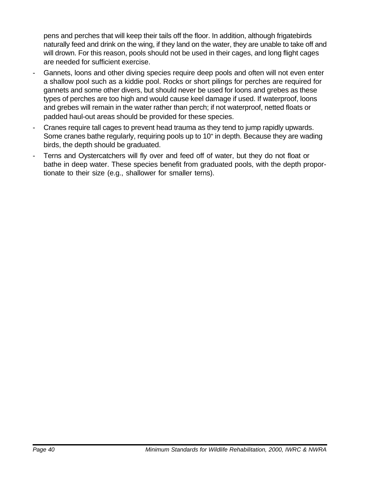pens and perches that will keep their tails off the floor. In addition, although frigatebirds naturally feed and drink on the wing, if they land on the water, they are unable to take off and will drown. For this reason, pools should not be used in their cages, and long flight cages are needed for sufficient exercise.

- Gannets, loons and other diving species require deep pools and often will not even enter a shallow pool such as a kiddie pool. Rocks or short pilings for perches are required for gannets and some other divers, but should never be used for loons and grebes as these types of perches are too high and would cause keel damage if used. If waterproof, loons and grebes will remain in the water rather than perch; if not waterproof, netted floats or padded haul-out areas should be provided for these species.
- Cranes require tall cages to prevent head trauma as they tend to jump rapidly upwards. Some cranes bathe regularly, requiring pools up to 10" in depth. Because they are wading birds, the depth should be graduated.
- Terns and Oystercatchers will fly over and feed off of water, but they do not float or bathe in deep water. These species benefit from graduated pools, with the depth proportionate to their size (e.g., shallower for smaller terns).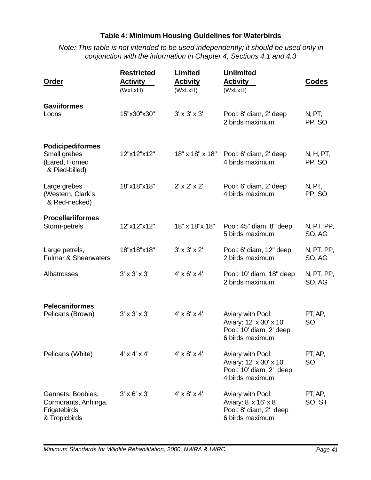### **Table 4: Minimum Housing Guidelines for Waterbirds**

*Note: This table is not intended to be used independently; it should be used only in conjunction with the information in Chapter 4, Sections 4.1 and 4.3*

| Order                                                                       | <b>Restricted</b><br><b>Activity</b><br>(WxLxH) | <b>Limited</b><br><b>Activity</b><br>(WxLxH) | <b>Unlimited</b><br><b>Activity</b><br>(WxLxH)                                             | <b>Codes</b>         |
|-----------------------------------------------------------------------------|-------------------------------------------------|----------------------------------------------|--------------------------------------------------------------------------------------------|----------------------|
| <b>Gaviiformes</b><br>Loons                                                 | 15"x30"x30"                                     | $3' \times 3' \times 3'$                     | Pool: 8' diam, 2' deep<br>2 birds maximum                                                  | N, PT,<br>PP, SO     |
| <b>Podicipediformes</b><br>Small grebes<br>(Eared, Horned<br>& Pied-billed) | 12"x12"x12"                                     | 18" x 18" x 18"                              | Pool: 6' diam, 2' deep<br>4 birds maximum                                                  | N, H, PT,<br>PP, SO  |
| Large grebes<br>(Western, Clark's<br>& Red-necked)                          | 18"x18"x18"                                     | $2' \times 2' \times 2'$                     | Pool: 6' diam, 2' deep<br>4 birds maximum                                                  | N, PT,<br>PP, SO     |
| <b>Procellariiformes</b><br>Storm-petrels                                   | 12"x12"x12"                                     | 18" x 18" x 18"                              | Pool: 45" diam, 8" deep                                                                    | N, PT, PP,           |
|                                                                             |                                                 |                                              | 5 birds maximum                                                                            | SO, AG               |
| Large petrels,<br><b>Fulmar &amp; Shearwaters</b>                           | 18"x18"x18"                                     | $3' \times 3' \times 2'$                     | Pool: 6' diam, 12" deep<br>2 birds maximum                                                 | N, PT, PP,<br>SO, AG |
| Albatrosses                                                                 | $3' \times 3' \times 3'$                        | $4' \times 6' \times 4'$                     | Pool: 10' diam, 18" deep<br>2 birds maximum                                                | N, PT, PP,<br>SO, AG |
| <b>Pelecaniformes</b><br>Pelicans (Brown)                                   | $3' \times 3' \times 3'$                        | $4' \times 8' \times 4'$                     | Aviary with Pool:<br>Aviary: 12' x 30' x 10'<br>Pool: 10' diam, 2' deep<br>6 birds maximum | PT, AP,<br><b>SO</b> |
| Pelicans (White)                                                            | $4' \times 4' \times 4'$                        | $4' \times 8' \times 4'$                     | Aviary with Pool:<br>Aviary: 12' x 30' x 10'<br>Pool: 10' diam, 2' deep<br>4 birds maximum | PT, AP,<br><b>SO</b> |
| Gannets, Boobies,<br>Cormorants, Anhinga,<br>Frigatebirds<br>& Tropicbirds  | $3' \times 6' \times 3'$                        | $4' \times 8' \times 4'$                     | Aviary with Pool:<br>Aviary: 8 'x 16' x 8'<br>Pool: 8' diam, 2' deep<br>6 birds maximum    | PT, AP,<br>SO, ST    |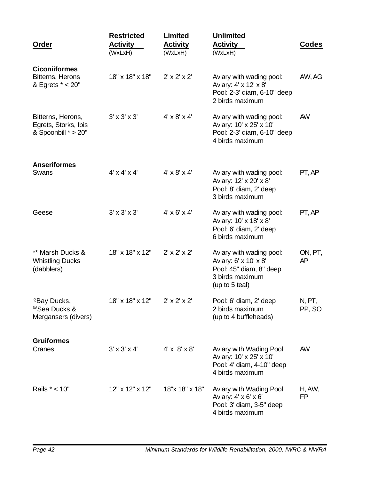| Order                                                                      | <b>Restricted</b><br><b>Activity</b><br>(WxLxH) | Limited<br><b>Activity</b><br>(WxLxH) | <b>Unlimited</b><br><b>Activity</b><br>(WxLxH)                                                                    | Codes            |
|----------------------------------------------------------------------------|-------------------------------------------------|---------------------------------------|-------------------------------------------------------------------------------------------------------------------|------------------|
| <b>Ciconiiformes</b><br>Bitterns, Herons<br>& Egrets * < 20"               | 18" x 18" x 18"                                 | $2' \times 2' \times 2'$              | Aviary with wading pool:<br>Aviary: 4' x 12' x 8'<br>Pool: 2-3' diam, 6-10" deep<br>2 birds maximum               | AW, AG           |
| Bitterns, Herons,<br>Egrets, Storks, Ibis<br>& Spoonbill * > 20"           | $3' \times 3' \times 3'$                        | $4' \times 8' \times 4'$              | Aviary with wading pool:<br>Aviary: 10' x 25' x 10'<br>Pool: 2-3' diam, 6-10" deep<br>4 birds maximum             | <b>AW</b>        |
| <b>Anseriformes</b><br>Swans                                               | $4' \times 4' \times 4'$                        | $4' \times 8' \times 4'$              | Aviary with wading pool:<br>Aviary: 12' x 20' x 8'<br>Pool: 8' diam, 2' deep<br>3 birds maximum                   | PT, AP           |
| Geese                                                                      | $3' \times 3' \times 3'$                        | $4' \times 6' \times 4'$              | Aviary with wading pool:<br>Aviary: 10' x 18' x 8'<br>Pool: 6' diam, 2' deep<br>6 birds maximum                   | PT, AP           |
| ** Marsh Ducks &<br><b>Whistling Ducks</b><br>(dabblers)                   | 18" x 18" x 12"                                 | $2' \times 2' \times 2'$              | Aviary with wading pool:<br>Aviary: 6' x 10' x 8'<br>Pool: 45" diam, 8" deep<br>3 birds maximum<br>(up to 5 teal) | ON, PT,<br>AP    |
| <sup>®</sup> Bay Ducks,<br><sup>®</sup> Sea Ducks &<br>Mergansers (divers) | 18" x 18" x 12"                                 | $2' \times 2' \times 2'$              | Pool: 6' diam, 2' deep<br>2 birds maximum<br>(up to 4 buffleheads)                                                | N, PT,<br>PP, SO |
| <b>Gruiformes</b>                                                          |                                                 |                                       |                                                                                                                   |                  |
| Cranes                                                                     | $3' \times 3' \times 4'$                        | $4' \times 8' \times 8'$              | Aviary with Wading Pool<br>Aviary: 10' x 25' x 10'<br>Pool: 4' diam, 4-10" deep<br>4 birds maximum                | <b>AW</b>        |
| Rails * < 10"                                                              | 12" x 12" x 12"                                 | 18"x 18" x 18"                        | Aviary with Wading Pool<br>Aviary: 4' x 6' x 6'<br>Pool: 3' diam, 3-5" deep<br>4 birds maximum                    | H, AW,<br>FP     |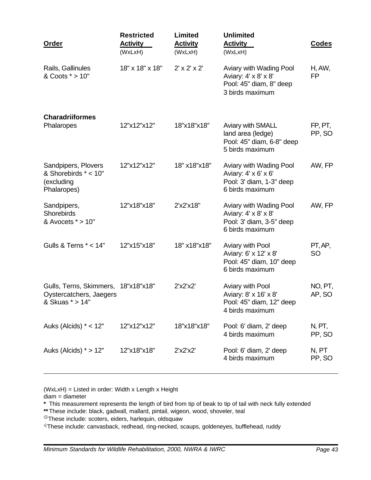| <b>Restricted</b><br><b>Activity</b><br>(WxLxH) | <b>Limited</b><br><b>Activity</b><br>(WxLxH) | <b>Unlimited</b><br><b>Activity</b><br>(WxLxH)                                                 | <b>Codes</b>         |
|-------------------------------------------------|----------------------------------------------|------------------------------------------------------------------------------------------------|----------------------|
| 18" x 18" x 18"                                 | $2' \times 2' \times 2'$                     | Aviary with Wading Pool<br>Aviary: 4' x 8' x 8'<br>Pool: 45" diam, 8" deep<br>3 birds maximum  | H, AW,<br>FP         |
| 12"x12"x12"                                     | 18"x18"x18"                                  | Aviary with SMALL<br>land area (ledge)<br>Pool: 45" diam, 6-8" deep                            | FP, PT,<br>PP, SO    |
| 12"x12"x12"                                     | 18" x18"x18"                                 | Aviary with Wading Pool<br>Aviary: 4' x 6' x 6'<br>Pool: 3' diam, 1-3" deep<br>6 birds maximum | AW, FP               |
| 12"x18"x18"                                     | 2'x2'x18"                                    | Aviary with Wading Pool<br>Aviary: 4' x 8' x 8'<br>Pool: 3' diam, 3-5" deep<br>6 birds maximum | AW, FP               |
| 12"x15"x18"                                     | 18" x18"x18"                                 | Aviary with Pool<br>Aviary: 6' x 12' x 8'<br>Pool: 45" diam, 10" deep<br>6 birds maximum       | PT, AP,<br><b>SO</b> |
| Gulls, Terns, Skimmers,<br>18"x18"x18"          | 2'x2'x2'                                     | Aviary with Pool<br>Aviary: 8' x 16' x 8'<br>Pool: 45" diam, 12" deep<br>4 birds maximum       | NO, PT,<br>AP, SO    |
| 12"x12"x12"                                     | 18"x18"x18"                                  | Pool: 6' diam, 2' deep<br>4 birds maximum                                                      | N, PT,<br>PP, SO     |
| 12"x18"x18"                                     | 2'x2'x2'                                     | Pool: 6' diam, 2' deep<br>4 birds maximum                                                      | N, PT<br>PP, SO      |
|                                                 |                                              |                                                                                                | 5 birds maximum      |

(WxLxH) = Listed in order: Width x Length x Height

diam = diameter

**\*** This measurement represents the length of bird from tip of beak to tip of tail with neck fully extended

**\*\***These include: black, gadwall, mallard, pintail, wigeon, wood, shoveler, teal

<sup>3</sup>These include: scoters, eiders, harlequin, oldsquaw

<sup>2</sup>These include: canvasback, redhead, ring-necked, scaups, goldeneyes, bufflehead, ruddy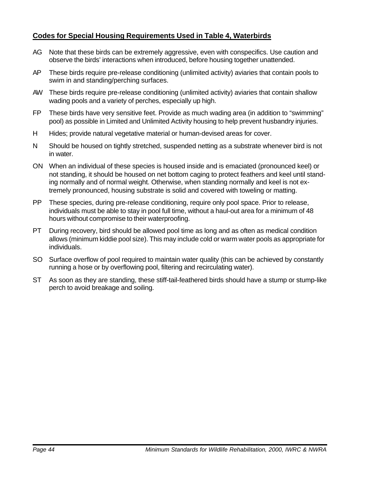#### **Codes for Special Housing Requirements Used in Table 4, Waterbirds**

- AG Note that these birds can be extremely aggressive, even with conspecifics. Use caution and observe the birds' interactions when introduced, before housing together unattended.
- AP These birds require pre-release conditioning (unlimited activity) aviaries that contain pools to swim in and standing/perching surfaces.
- AW These birds require pre-release conditioning (unlimited activity) aviaries that contain shallow wading pools and a variety of perches, especially up high.
- FP These birds have very sensitive feet. Provide as much wading area (in addition to "swimming" pool) as possible in Limited and Unlimited Activity housing to help prevent husbandry injuries.
- H Hides; provide natural vegetative material or human-devised areas for cover.
- N Should be housed on tightly stretched, suspended netting as a substrate whenever bird is not in water.
- ON When an individual of these species is housed inside and is emaciated (pronounced keel) or not standing, it should be housed on net bottom caging to protect feathers and keel until standing normally and of normal weight. Otherwise, when standing normally and keel is not extremely pronounced, housing substrate is solid and covered with toweling or matting.
- PP These species, during pre-release conditioning, require only pool space. Prior to release, individuals must be able to stay in pool full time, without a haul-out area for a minimum of 48 hours without compromise to their waterproofing.
- PT During recovery, bird should be allowed pool time as long and as often as medical condition allows (minimum kiddie pool size). This may include cold or warm water pools as appropriate for individuals.
- SO Surface overflow of pool required to maintain water quality (this can be achieved by constantly running a hose or by overflowing pool, filtering and recirculating water).
- ST As soon as they are standing, these stiff-tail-feathered birds should have a stump or stump-like perch to avoid breakage and soiling.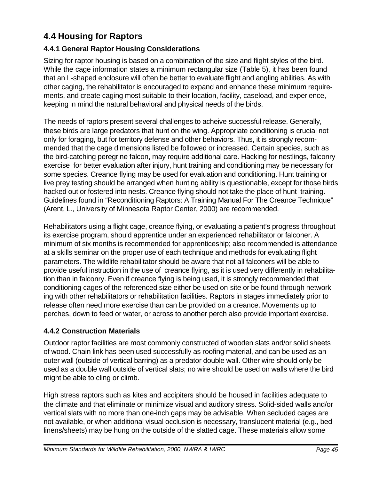## **4.4 Housing for Raptors**

## **4.4.1 General Raptor Housing Considerations**

Sizing for raptor housing is based on a combination of the size and flight styles of the bird. While the cage information states a minimum rectangular size (Table 5), it has been found that an L-shaped enclosure will often be better to evaluate flight and angling abilities. As with other caging, the rehabilitator is encouraged to expand and enhance these minimum requirements, and create caging most suitable to their location, facility, caseload, and experience, keeping in mind the natural behavioral and physical needs of the birds.

The needs of raptors present several challenges to acheive successful release. Generally, these birds are large predators that hunt on the wing. Appropriate conditioning is crucial not only for foraging, but for territory defense and other behaviors. Thus, it is strongly recommended that the cage dimensions listed be followed or increased. Certain species, such as the bird-catching peregrine falcon, may require additional care. Hacking for nestlings, falconry exercise for better evaluation after injury, hunt training and conditioning may be necessary for some species. Creance flying may be used for evaluation and conditioning. Hunt training or live prey testing should be arranged when hunting ability is questionable, except for those birds hacked out or fostered into nests. Creance flying should not take the place of hunt training. Guidelines found in "Reconditioning Raptors: A Training Manual For The Creance Technique" (Arent, L., University of Minnesota Raptor Center, 2000) are recommended.

Rehabilitators using a flight cage, creance flying, or evaluating a patient's progress throughout its exercise program, should apprentice under an experienced rehabilitator or falconer. A minimum of six months is recommended for apprenticeship; also recommended is attendance at a skills seminar on the proper use of each technique and methods for evaluating flight parameters. The wildlife rehabilitator should be aware that not all falconers will be able to provide useful instruction in the use of creance flying, as it is used very differently in rehabilitation than in falconry. Even if creance flying is being used, it is strongly recommended that conditioning cages of the referenced size either be used on-site or be found through networking with other rehabilitators or rehabilitation facilities. Raptors in stages immediately prior to release often need more exercise than can be provided on a creance. Movements up to perches, down to feed or water, or across to another perch also provide important exercise.

## **4.4.2 Construction Materials**

Outdoor raptor facilities are most commonly constructed of wooden slats and/or solid sheets of wood. Chain link has been used successfully as roofing material, and can be used as an outer wall (outside of vertical barring) as a predator double wall. Other wire should only be used as a double wall outside of vertical slats; no wire should be used on walls where the bird might be able to cling or climb.

High stress raptors such as kites and accipiters should be housed in facilities adequate to the climate and that eliminate or minimize visual and auditory stress. Solid-sided walls and/or vertical slats with no more than one-inch gaps may be advisable. When secluded cages are not available, or when additional visual occlusion is necessary, translucent material (e.g., bed linens/sheets) may be hung on the outside of the slatted cage. These materials allow some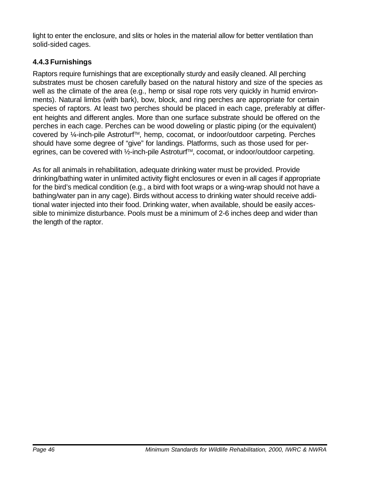light to enter the enclosure, and slits or holes in the material allow for better ventilation than solid-sided cages.

## **4.4.3 Furnishings**

Raptors require furnishings that are exceptionally sturdy and easily cleaned. All perching substrates must be chosen carefully based on the natural history and size of the species as well as the climate of the area (e.g., hemp or sisal rope rots very quickly in humid environments). Natural limbs (with bark), bow, block, and ring perches are appropriate for certain species of raptors. At least two perches should be placed in each cage, preferably at different heights and different angles. More than one surface substrate should be offered on the perches in each cage. Perches can be wood doweling or plastic piping (or the equivalent) covered by ¼-inch-pile Astroturf™, hemp, cocomat, or indoor/outdoor carpeting. Perches should have some degree of "give" for landings. Platforms, such as those used for peregrines, can be covered with 1⁄2-inch-pile Astroturf™, cocomat, or indoor/outdoor carpeting.

As for all animals in rehabilitation, adequate drinking water must be provided. Provide drinking/bathing water in unlimited activity flight enclosures or even in all cages if appropriate for the bird's medical condition (e.g., a bird with foot wraps or a wing-wrap should not have a bathing/water pan in any cage). Birds without access to drinking water should receive additional water injected into their food. Drinking water, when available, should be easily accessible to minimize disturbance. Pools must be a minimum of 2-6 inches deep and wider than the length of the raptor.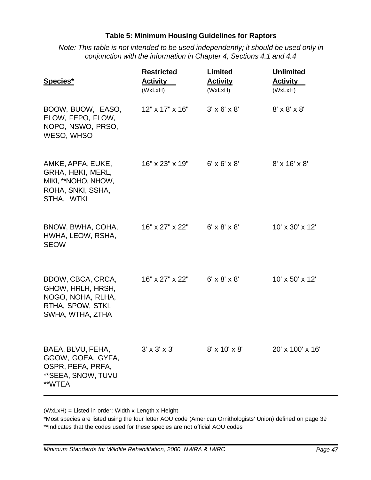#### **Table 5: Minimum Housing Guidelines for Raptors**

*Note: This table is not intended to be used independently; it should be used only in conjunction with the information in Chapter 4, Sections 4.1 and 4.4*

| Species*                                                                                             | <b>Restricted</b><br><b>Activity</b><br>(WxLxH) | <b>Limited</b><br><b>Activity</b><br>(WxLxH) | <b>Unlimited</b><br><b>Activity</b><br>(WxLxH) |
|------------------------------------------------------------------------------------------------------|-------------------------------------------------|----------------------------------------------|------------------------------------------------|
| BOOW, BUOW, EASO,<br>ELOW, FEPO, FLOW,<br>NOPO, NSWO, PRSO,<br>WESO, WHSO                            | 12" x 17" x 16"                                 | $3' \times 6' \times 8'$                     | $8' \times 8' \times 8'$                       |
| AMKE, APFA, EUKE,<br>GRHA, HBKI, MERL,<br>MIKI, **NOHO, NHOW,<br>ROHA, SNKI, SSHA,<br>STHA, WTKI     | 16" x 23" x 19"                                 | $6' \times 6' \times 8'$                     | $8' \times 16' \times 8'$                      |
| BNOW, BWHA, COHA,<br>HWHA, LEOW, RSHA,<br><b>SEOW</b>                                                | 16" x 27" x 22"                                 | $6' \times 8' \times 8'$                     | $10' \times 30' \times 12'$                    |
| BDOW, CBCA, CRCA,<br>GHOW, HRLH, HRSH,<br>NOGO, NOHA, RLHA,<br>RTHA, SPOW, STKI,<br>SWHA, WTHA, ZTHA | 16" x 27" x 22"                                 | $6' \times 8' \times 8'$                     | $10' \times 50' \times 12'$                    |
| BAEA, BLVU, FEHA,<br>GGOW, GOEA, GYFA,<br>OSPR, PEFA, PRFA,<br>**SEEA, SNOW, TUVU<br>**WTEA          | $3' \times 3' \times 3'$                        | 8' x 10' x 8'                                | 20' x 100' x 16'                               |

(WxLxH) = Listed in order: Width x Length x Height

\*Most species are listed using the four letter AOU code (American Ornithologists' Union) defined on page 39 \*\*Indicates that the codes used for these species are not official AOU codes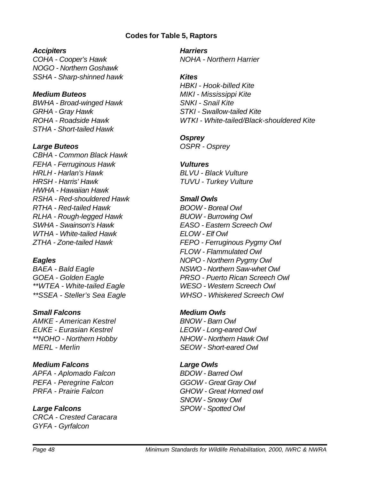#### **Codes for Table 5, Raptors**

#### *Accipiters*

*COHA - Cooper's Hawk NOGO - Northern Goshawk SSHA - Sharp-shinned hawk*

#### *Medium Buteos*

*BWHA - Broad-winged Hawk GRHA - Gray Hawk ROHA - Roadside Hawk STHA - Short-tailed Hawk*

#### *Large Buteos*

*CBHA - Common Black Hawk FEHA - Ferruginous Hawk HRLH - Harlan's Hawk HRSH - Harris' Hawk HWHA - Hawaiian Hawk RSHA - Red-shouldered Hawk RTHA - Red-tailed Hawk RLHA - Rough-legged Hawk SWHA - Swainson's Hawk WTHA - White-tailed Hawk ZTHA - Zone-tailed Hawk*

#### *Eagles*

*BAEA - Bald Eagle GOEA - Golden Eagle \*\*WTEA - White-tailed Eagle \*\*SSEA - Steller's Sea Eagle*

#### *Small Falcons*

*AMKE - American Kestrel EUKE - Eurasian Kestrel \*\*NOHO - Northern Hobby MERL - Merlin*

#### *Medium Falcons*

*APFA - Aplomado Falcon PEFA - Peregrine Falcon PRFA - Prairie Falcon*

#### *Large Falcons*

*CRCA - Crested Caracara GYFA - Gyrfalcon*

*Harriers NOHA - Northern Harrier*

#### *Kites*

*HBKI - Hook-billed Kite MIKI - Mississippi Kite SNKI - Snail Kite STKI - Swallow-tailed Kite WTKI - White-tailed/Black-shouldered Kite*

#### *Osprey*

*OSPR - Osprey*

### *Vultures*

*BLVU - Black Vulture TUVU - Turkey Vulture*

#### *Small Owls*

*BOOW - Boreal Owl BUOW - Burrowing Owl EASO - Eastern Screech Owl ELOW - Elf Owl FEPO - Ferruginous Pygmy Owl FLOW - Flammulated Owl NOPO - Northern Pygmy Owl NSWO - Northern Saw-whet Owl PRSO - Puerto Rican Screech Owl WESO - Western Screech Owl WHSO - Whiskered Screech Owl*

#### *Medium Owls*

*BNOW - Barn Owl LEOW - Long-eared Owl NHOW - Northern Hawk Owl SEOW - Short-eared Owl*

#### *Large Owls*

*BDOW - Barred Owl GGOW - Great Gray Owl GHOW - Great Horned owl SNOW - Snowy Owl SPOW - Spotted Owl*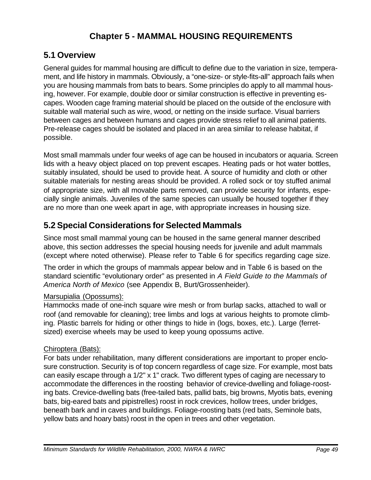## **Chapter 5 - MAMMAL HOUSING REQUIREMENTS**

## **5.1 Overview**

General guides for mammal housing are difficult to define due to the variation in size, temperament, and life history in mammals. Obviously, a "one-size- or style-fits-all" approach fails when you are housing mammals from bats to bears. Some principles do apply to all mammal housing, however. For example, double door or similar construction is effective in preventing escapes. Wooden cage framing material should be placed on the outside of the enclosure with suitable wall material such as wire, wood, or netting on the inside surface. Visual barriers between cages and between humans and cages provide stress relief to all animal patients. Pre-release cages should be isolated and placed in an area similar to release habitat, if possible.

Most small mammals under four weeks of age can be housed in incubators or aquaria. Screen lids with a heavy object placed on top prevent escapes. Heating pads or hot water bottles, suitably insulated, should be used to provide heat. A source of humidity and cloth or other suitable materials for nesting areas should be provided. A rolled sock or toy stuffed animal of appropriate size, with all movable parts removed, can provide security for infants, especially single animals. Juveniles of the same species can usually be housed together if they are no more than one week apart in age, with appropriate increases in housing size.

## **5.2 Special Considerations for Selected Mammals**

Since most small mammal young can be housed in the same general manner described above, this section addresses the special housing needs for juvenile and adult mammals (except where noted otherwise). Please refer to Table 6 for specifics regarding cage size.

The order in which the groups of mammals appear below and in Table 6 is based on the standard scientific "evolutionary order" as presented in *A Field Guide to the Mammals of America North of Mexico* (see Appendix B, Burt/Grossenheider).

#### Marsupialia (Opossums):

Hammocks made of one-inch square wire mesh or from burlap sacks, attached to wall or roof (and removable for cleaning); tree limbs and logs at various heights to promote climbing. Plastic barrels for hiding or other things to hide in (logs, boxes, etc.). Large (ferretsized) exercise wheels may be used to keep young opossums active.

## Chiroptera (Bats):

For bats under rehabilitation, many different considerations are important to proper enclosure construction. Security is of top concern regardless of cage size. For example, most bats can easily escape through a 1/2" x 1" crack. Two different types of caging are necessary to accommodate the differences in the roosting behavior of crevice-dwelling and foliage-roosting bats. Crevice-dwelling bats (free-tailed bats, pallid bats, big browns, Myotis bats, evening bats, big-eared bats and pipistrelles) roost in rock crevices, hollow trees, under bridges, beneath bark and in caves and buildings. Foliage-roosting bats (red bats, Seminole bats, yellow bats and hoary bats) roost in the open in trees and other vegetation.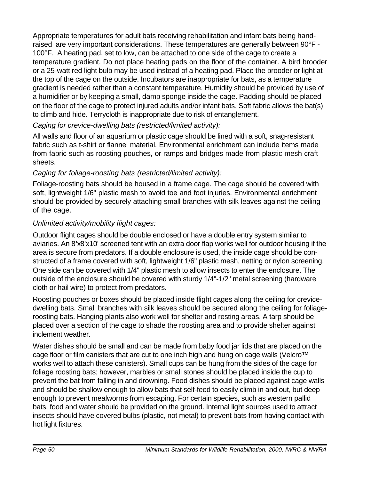Appropriate temperatures for adult bats receiving rehabilitation and infant bats being handraised are very important considerations. These temperatures are generally between 90°F - 100°F. A heating pad, set to low, can be attached to one side of the cage to create a temperature gradient. Do not place heating pads on the floor of the container. A bird brooder or a 25-watt red light bulb may be used instead of a heating pad. Place the brooder or light at the top of the cage on the outside. Incubators are inappropriate for bats, as a temperature gradient is needed rather than a constant temperature. Humidity should be provided by use of a humidifier or by keeping a small, damp sponge inside the cage. Padding should be placed on the floor of the cage to protect injured adults and/or infant bats. Soft fabric allows the bat(s) to climb and hide. Terrycloth is inappropriate due to risk of entanglement.

## *Caging for crevice-dwelling bats (restricted/limited activity):*

All walls and floor of an aquarium or plastic cage should be lined with a soft, snag-resistant fabric such as t-shirt or flannel material. Environmental enrichment can include items made from fabric such as roosting pouches, or ramps and bridges made from plastic mesh craft sheets.

## *Caging for foliage-roosting bats (restricted/limited activity):*

Foliage-roosting bats should be housed in a frame cage. The cage should be covered with soft, lightweight 1/6" plastic mesh to avoid toe and foot injuries. Environmental enrichment should be provided by securely attaching small branches with silk leaves against the ceiling of the cage.

## *Unlimited activity/mobility flight cages:*

Outdoor flight cages should be double enclosed or have a double entry system similar to aviaries. An 8'x8'x10' screened tent with an extra door flap works well for outdoor housing if the area is secure from predators. If a double enclosure is used, the inside cage should be constructed of a frame covered with soft, lightweight 1/6" plastic mesh, netting or nylon screening. One side can be covered with 1/4" plastic mesh to allow insects to enter the enclosure. The outside of the enclosure should be covered with sturdy 1/4"-1/2" metal screening (hardware cloth or hail wire) to protect from predators.

Roosting pouches or boxes should be placed inside flight cages along the ceiling for crevicedwelling bats. Small branches with silk leaves should be secured along the ceiling for foliageroosting bats. Hanging plants also work well for shelter and resting areas. A tarp should be placed over a section of the cage to shade the roosting area and to provide shelter against inclement weather.

Water dishes should be small and can be made from baby food jar lids that are placed on the cage floor or film canisters that are cut to one inch high and hung on cage walls (Velcro™ works well to attach these canisters). Small cups can be hung from the sides of the cage for foliage roosting bats; however, marbles or small stones should be placed inside the cup to prevent the bat from falling in and drowning. Food dishes should be placed against cage walls and should be shallow enough to allow bats that self-feed to easily climb in and out, but deep enough to prevent mealworms from escaping. For certain species, such as western pallid bats, food and water should be provided on the ground. Internal light sources used to attract insects should have covered bulbs (plastic, not metal) to prevent bats from having contact with hot light fixtures.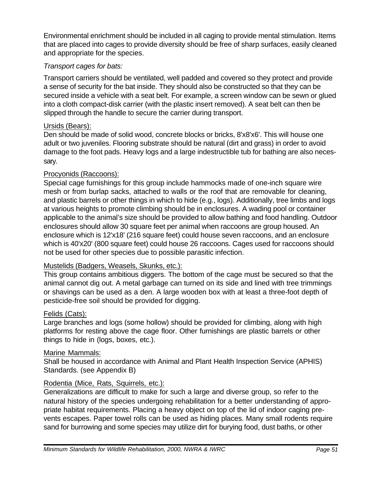Environmental enrichment should be included in all caging to provide mental stimulation. Items that are placed into cages to provide diversity should be free of sharp surfaces, easily cleaned and appropriate for the species.

### *Transport cages for bats:*

Transport carriers should be ventilated, well padded and covered so they protect and provide a sense of security for the bat inside. They should also be constructed so that they can be secured inside a vehicle with a seat belt. For example, a screen window can be sewn or glued into a cloth compact-disk carrier (with the plastic insert removed). A seat belt can then be slipped through the handle to secure the carrier during transport.

#### Ursids (Bears):

Den should be made of solid wood, concrete blocks or bricks, 8'x8'x6'. This will house one adult or two juveniles. Flooring substrate should be natural (dirt and grass) in order to avoid damage to the foot pads. Heavy logs and a large indestructible tub for bathing are also necessary.

#### Procyonids (Raccoons):

Special cage furnishings for this group include hammocks made of one-inch square wire mesh or from burlap sacks, attached to walls or the roof that are removable for cleaning, and plastic barrels or other things in which to hide (e.g., logs). Additionally, tree limbs and logs at various heights to promote climbing should be in enclosures. A wading pool or container applicable to the animal's size should be provided to allow bathing and food handling. Outdoor enclosures should allow 30 square feet per animal when raccoons are group housed. An enclosure which is 12'x18' (216 square feet) could house seven raccoons, and an enclosure which is 40'x20' (800 square feet) could house 26 raccoons. Cages used for raccoons should not be used for other species due to possible parasitic infection.

#### Mustelids (Badgers, Weasels, Skunks, etc.):

This group contains ambitious diggers. The bottom of the cage must be secured so that the animal cannot dig out. A metal garbage can turned on its side and lined with tree trimmings or shavings can be used as a den. A large wooden box with at least a three-foot depth of pesticide-free soil should be provided for digging.

#### Felids (Cats):

Large branches and logs (some hollow) should be provided for climbing, along with high platforms for resting above the cage floor. Other furnishings are plastic barrels or other things to hide in (logs, boxes, etc.).

#### Marine Mammals:

Shall be housed in accordance with Animal and Plant Health Inspection Service (APHIS) Standards. (see Appendix B)

#### Rodentia (Mice, Rats, Squirrels, etc.):

Generalizations are difficult to make for such a large and diverse group, so refer to the natural history of the species undergoing rehabilitation for a better understanding of appropriate habitat requirements. Placing a heavy object on top of the lid of indoor caging prevents escapes. Paper towel rolls can be used as hiding places. Many small rodents require sand for burrowing and some species may utilize dirt for burying food, dust baths, or other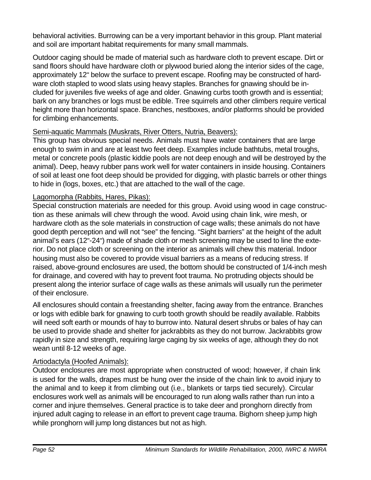behavioral activities. Burrowing can be a very important behavior in this group. Plant material and soil are important habitat requirements for many small mammals.

Outdoor caging should be made of material such as hardware cloth to prevent escape. Dirt or sand floors should have hardware cloth or plywood buried along the interior sides of the cage, approximately 12" below the surface to prevent escape. Roofing may be constructed of hardware cloth stapled to wood slats using heavy staples. Branches for gnawing should be included for juveniles five weeks of age and older. Gnawing curbs tooth growth and is essential; bark on any branches or logs must be edible. Tree squirrels and other climbers require vertical height more than horizontal space. Branches, nestboxes, and/or platforms should be provided for climbing enhancements.

### Semi-aquatic Mammals (Muskrats, River Otters, Nutria, Beavers):

This group has obvious special needs. Animals must have water containers that are large enough to swim in and are at least two feet deep. Examples include bathtubs, metal troughs, metal or concrete pools (plastic kiddie pools are not deep enough and will be destroyed by the animal). Deep, heavy rubber pans work well for water containers in inside housing. Containers of soil at least one foot deep should be provided for digging, with plastic barrels or other things to hide in (logs, boxes, etc.) that are attached to the wall of the cage.

### Lagomorpha (Rabbits, Hares, Pikas):

Special construction materials are needed for this group. Avoid using wood in cage construction as these animals will chew through the wood. Avoid using chain link, wire mesh, or hardware cloth as the sole materials in construction of cage walls; these animals do not have good depth perception and will not "see" the fencing. "Sight barriers" at the height of the adult animal's ears (12"-24") made of shade cloth or mesh screening may be used to line the exterior. Do not place cloth or screening on the interior as animals will chew this material. Indoor housing must also be covered to provide visual barriers as a means of reducing stress. If raised, above-ground enclosures are used, the bottom should be constructed of 1/4-inch mesh for drainage, and covered with hay to prevent foot trauma. No protruding objects should be present along the interior surface of cage walls as these animals will usually run the perimeter of their enclosure.

All enclosures should contain a freestanding shelter, facing away from the entrance. Branches or logs with edible bark for gnawing to curb tooth growth should be readily available. Rabbits will need soft earth or mounds of hay to burrow into. Natural desert shrubs or bales of hay can be used to provide shade and shelter for jackrabbits as they do not burrow. Jackrabbits grow rapidly in size and strength, requiring large caging by six weeks of age, although they do not wean until 8-12 weeks of age.

## Artiodactyla (Hoofed Animals):

Outdoor enclosures are most appropriate when constructed of wood; however, if chain link is used for the walls, drapes must be hung over the inside of the chain link to avoid injury to the animal and to keep it from climbing out (i.e., blankets or tarps tied securely). Circular enclosures work well as animals will be encouraged to run along walls rather than run into a corner and injure themselves. General practice is to take deer and pronghorn directly from injured adult caging to release in an effort to prevent cage trauma. Bighorn sheep jump high while pronghorn will jump long distances but not as high.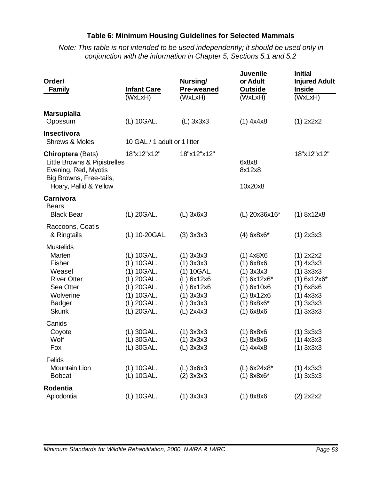### **Table 6: Minimum Housing Guidelines for Selected Mammals**

*Note: This table is not intended to be used independently; it should be used only in conjunction with the information in Chapter 5, Sections 5.1 and 5.2*

| Order/<br><b>Family</b>                                                                                                               | <b>Infant Care</b>                                                                                           | Nursing/<br><b>Pre-weaned</b>                                                                                     | <b>Juvenile</b><br>or Adult<br><b>Outside</b>                                                                         | <b>Initial</b><br><b>Injured Adult</b><br><b>Inside</b>                                                              |
|---------------------------------------------------------------------------------------------------------------------------------------|--------------------------------------------------------------------------------------------------------------|-------------------------------------------------------------------------------------------------------------------|-----------------------------------------------------------------------------------------------------------------------|----------------------------------------------------------------------------------------------------------------------|
|                                                                                                                                       | (WxLxH)                                                                                                      | (WxLxH)                                                                                                           | (WxLxH)                                                                                                               | (WxLxH)                                                                                                              |
| <b>Marsupialia</b><br>Opossum                                                                                                         | (L) 10GAL.                                                                                                   | $(L)$ 3x3x3                                                                                                       | $(1)$ 4x4x8                                                                                                           | (1) 2x2x2                                                                                                            |
| <b>Insectivora</b><br><b>Shrews &amp; Moles</b>                                                                                       | 10 GAL / 1 adult or 1 litter                                                                                 |                                                                                                                   |                                                                                                                       |                                                                                                                      |
| <b>Chiroptera (Bats)</b><br>Little Browns & Pipistrelles<br>Evening, Red, Myotis<br>Big Browns, Free-tails,<br>Hoary, Pallid & Yellow | 18"x12"x12"                                                                                                  | 18"x12"x12"                                                                                                       | 6x8x8<br>8x12x8<br>10x20x8                                                                                            | 18"x12"x12"                                                                                                          |
| Carnivora<br><b>Bears</b><br><b>Black Bear</b>                                                                                        | (L) 20GAL.                                                                                                   | $(L)$ 3x6x3                                                                                                       | (L) 20x36x16*                                                                                                         | (1) 8x12x8                                                                                                           |
| Raccoons, Coatis<br>& Ringtails                                                                                                       | (L) 10-20GAL.                                                                                                | $(3)$ 3x3x3                                                                                                       | $(4) 6x8x6*$                                                                                                          | $(1)$ 2x3x3                                                                                                          |
| <b>Mustelids</b><br>Marten<br>Fisher<br>Weasel<br><b>River Otter</b><br>Sea Otter<br>Wolverine<br><b>Badger</b><br><b>Skunk</b>       | (L) 10GAL.<br>(L) 10GAL.<br>(1) 10GAL.<br>(L) 20GAL.<br>(L) 20GAL.<br>(1) 10GAL.<br>(L) 20GAL.<br>(L) 20GAL. | $(1)$ 3x3x3<br>$(1)$ 3x3x3<br>(1) 10GAL.<br>(L) 6x12x6<br>(L) 6x12x6<br>$(1)$ 3x3x3<br>$(L)$ 3x3x3<br>$(L)$ 2x4x3 | $(1)$ 4x8X6<br>$(1)$ 6x8x6<br>$(1)$ 3x3x3<br>$(1)$ 6x12x6*<br>(1) 6x10x6<br>(1) 8x12x6<br>$(1) 8x8x6*$<br>$(1)$ 6x8x6 | (1) 2x2x2<br>$(1)$ 4x3x3<br>$(1)$ 3x3x3<br>$(1)$ 6x12x6*<br>$(1)$ 6x8x6<br>$(1)$ 4x3x3<br>$(1)$ 3x3x3<br>$(1)$ 3x3x3 |
| Canids<br>Coyote<br>Wolf<br>Fox                                                                                                       | (L) 30GAL.<br>(L) 30GAL.<br>(L) 30GAL.                                                                       | $(1)$ 3x3x3<br>$(1)$ 3x3x3<br>$(L)$ 3x3x3                                                                         | (1) 8x8x6<br>$(1)$ 8x8x6<br>$(1)$ 4x4x8                                                                               | $(1)$ 3x3x3<br>$(1)$ 4x3x3<br>$(1)$ 3x3x3                                                                            |
| Felids<br><b>Mountain Lion</b><br><b>Bobcat</b>                                                                                       | (L) 10GAL.<br>(L) 10GAL.                                                                                     | $(L)$ 3x6x3<br>$(2)$ 3x3x3                                                                                        | $(L) 6x24x8*$<br>$(1) 8x8x6*$                                                                                         | $(1)$ 4x3x3<br>$(1)$ 3x3x3                                                                                           |
| Rodentia<br>Aplodontia                                                                                                                | (L) 10GAL.                                                                                                   | $(1)$ 3x3x3                                                                                                       | (1) 8x8x6                                                                                                             | (2) 2x2x2                                                                                                            |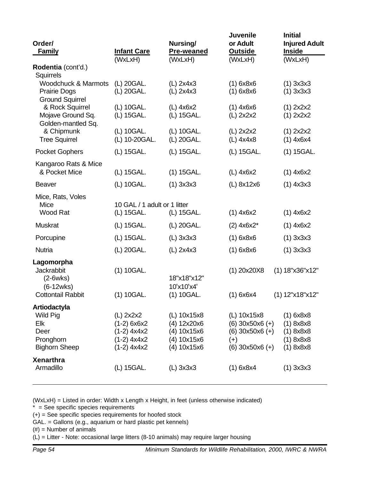| Order/<br><b>Family</b>                                                                                       | <b>Infant Care</b><br>(WxLxH)                                                               | Nursing/<br><b>Pre-weaned</b><br>(WxLxH)                                               | <b>Juvenile</b><br>or Adult<br><b>Outside</b><br>(WxLxH)                                               | <b>Initial</b><br><b>Injured Adult</b><br><b>Inside</b><br>(WxLxH)           |
|---------------------------------------------------------------------------------------------------------------|---------------------------------------------------------------------------------------------|----------------------------------------------------------------------------------------|--------------------------------------------------------------------------------------------------------|------------------------------------------------------------------------------|
| Rodentia (cont'd.)<br>Squirrels                                                                               |                                                                                             |                                                                                        |                                                                                                        |                                                                              |
| <b>Woodchuck &amp; Marmots</b><br><b>Prairie Dogs</b><br><b>Ground Squirrel</b>                               | (L) 20GAL.<br>(L) 20GAL.                                                                    | $(L)$ 2x4x3<br>$(L)$ 2x4x3                                                             | $(1)$ 6x8x6<br>$(1)$ 6x8x6                                                                             | $(1)$ 3x3x3<br>$(1)$ 3x3x3                                                   |
| & Rock Squirrel<br>Mojave Ground Sq.<br>Golden-mantled Sq.                                                    | (L) 10GAL.<br>(L) 15GAL.                                                                    | $(L)$ 4x6x2<br>(L) 15GAL.                                                              | $(1)$ 4x6x6<br>(L) 2x2x2                                                                               | (1) 2x2x2<br>(1) 2x2x2                                                       |
| & Chipmunk<br><b>Tree Squirrel</b>                                                                            | (L) 10GAL.<br>(L) 10-20GAL.                                                                 | (L) 10GAL.<br>(L) 20GAL.                                                               | $(L)$ 2x2x2<br>(L) 4x4x8                                                                               | (1) 2x2x2<br>$(1)$ 4x6x4                                                     |
| <b>Pocket Gophers</b>                                                                                         | (L) 15GAL.                                                                                  | (L) 15GAL.                                                                             | (L) 15GAL.                                                                                             | $(1)$ 15GAL.                                                                 |
| Kangaroo Rats & Mice<br>& Pocket Mice                                                                         | (L) 15GAL.                                                                                  | $(1)$ 15GAL.                                                                           | $(L)$ 4x6x2                                                                                            | $(1)$ 4x6x2                                                                  |
| <b>Beaver</b>                                                                                                 | (L) 10GAL.                                                                                  | $(1)$ 3x3x3                                                                            | (L) 8x12x6                                                                                             | $(1)$ 4x3x3                                                                  |
| Mice, Rats, Voles<br>Mice<br>Wood Rat                                                                         | 10 GAL / 1 adult or 1 litter<br>(L) 15GAL.                                                  | (L) 15GAL.                                                                             | $(1)$ 4x6x2                                                                                            | $(1)$ 4x6x2                                                                  |
| <b>Muskrat</b>                                                                                                | (L) 15GAL.                                                                                  | (L) 20GAL.                                                                             | $(2)$ 4x6x2*                                                                                           | $(1)$ 4x6x2                                                                  |
| Porcupine                                                                                                     | (L) 15GAL.                                                                                  | $(L)$ 3x3x3                                                                            | $(1)$ 6x8x6                                                                                            | $(1)$ 3x3x3                                                                  |
| <b>Nutria</b>                                                                                                 | (L) 20GAL.                                                                                  | $(L)$ 2x4x3                                                                            | $(1)$ 6x8x6                                                                                            | $(1)$ 3x3x3                                                                  |
| Lagomorpha<br><b>Jackrabbit</b><br>$(2-6wks)$<br>$(6-12wks)$<br><b>Cottontail Rabbit</b>                      | (1) 10GAL.<br>(1) 10GAL.                                                                    | 18"x18"x12"<br>10'x10'x4'<br>(1) 10GAL.                                                | $(1)$ 20x20X8<br>$(1)$ 6x6x4                                                                           | (1) 18"x36"x12"<br>(1) 12"x18"x12"                                           |
| Artiodactyla<br>Wild Pig<br>Elk<br>Deer<br>Pronghorn<br><b>Bighorn Sheep</b><br><b>Xenarthra</b><br>Armadillo | (L) 2x2x2<br>$(1-2) 6x6x2$<br>$(1-2)$ 4x4x2<br>$(1-2)$ 4x4x2<br>$(1-2)$ 4x4x2<br>(L) 15GAL. | (L) 10x15x8<br>(4) 12x20x6<br>(4) 10x15x6<br>(4) 10x15x6<br>(4) 10x15x6<br>$(L)$ 3x3x3 | (L) 10x15x8<br>$(6)$ 30x50x6 $(+)$<br>$(6)$ 30x50x6 $(+)$<br>$(+)$<br>$(6)$ 30x50x6 $(+)$<br>(1) 6x8x4 | (1) 6x8x8<br>(1) 8x8x8<br>(1) 8x8x8<br>(1) 8x8x8<br>(1) 8x8x8<br>$(1)$ 3x3x3 |
|                                                                                                               |                                                                                             |                                                                                        |                                                                                                        |                                                                              |

(WxLxH) = Listed in order: Width x Length x Height, in feet (unless otherwise indicated)

 $* =$  See specific species requirements

(+) = See specific species requirements for hoofed stock

GAL. = Gallons (e.g., aquarium or hard plastic pet kennels)

 $(\#)$  = Number of animals

(L) = Litter - Note: occasional large litters (8-10 animals) may require larger housing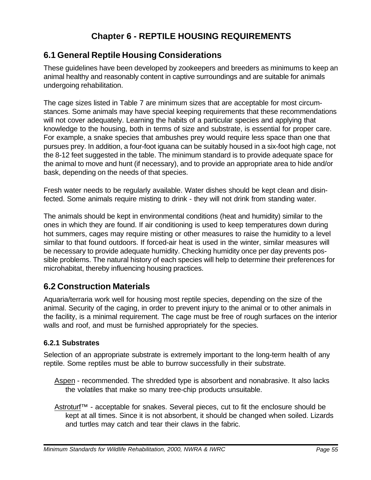## **Chapter 6 - REPTILE HOUSING REQUIREMENTS**

## **6.1 General Reptile Housing Considerations**

These guidelines have been developed by zookeepers and breeders as minimums to keep an animal healthy and reasonably content in captive surroundings and are suitable for animals undergoing rehabilitation.

The cage sizes listed in Table 7 are minimum sizes that are acceptable for most circumstances. Some animals may have special keeping requirements that these recommendations will not cover adequately. Learning the habits of a particular species and applying that knowledge to the housing, both in terms of size and substrate, is essential for proper care. For example, a snake species that ambushes prey would require less space than one that pursues prey. In addition, a four-foot iguana can be suitably housed in a six-foot high cage, not the 8-12 feet suggested in the table. The minimum standard is to provide adequate space for the animal to move and hunt (if necessary), and to provide an appropriate area to hide and/or bask, depending on the needs of that species.

Fresh water needs to be regularly available. Water dishes should be kept clean and disinfected. Some animals require misting to drink - they will not drink from standing water.

The animals should be kept in environmental conditions (heat and humidity) similar to the ones in which they are found. If air conditioning is used to keep temperatures down during hot summers, cages may require misting or other measures to raise the humidity to a level similar to that found outdoors. If forced-air heat is used in the winter, similar measures will be necessary to provide adequate humidity. Checking humidity once per day prevents possible problems. The natural history of each species will help to determine their preferences for microhabitat, thereby influencing housing practices.

## **6.2 Construction Materials**

Aquaria/terraria work well for housing most reptile species, depending on the size of the animal. Security of the caging, in order to prevent injury to the animal or to other animals in the facility, is a minimal requirement. The cage must be free of rough surfaces on the interior walls and roof, and must be furnished appropriately for the species.

## **6.2.1 Substrates**

Selection of an appropriate substrate is extremely important to the long-term health of any reptile. Some reptiles must be able to burrow successfully in their substrate.

- Aspen recommended. The shredded type is absorbent and nonabrasive. It also lacks the volatiles that make so many tree-chip products unsuitable.
- Astroturf™ acceptable for snakes. Several pieces, cut to fit the enclosure should be kept at all times. Since it is not absorbent, it should be changed when soiled. Lizards and turtles may catch and tear their claws in the fabric.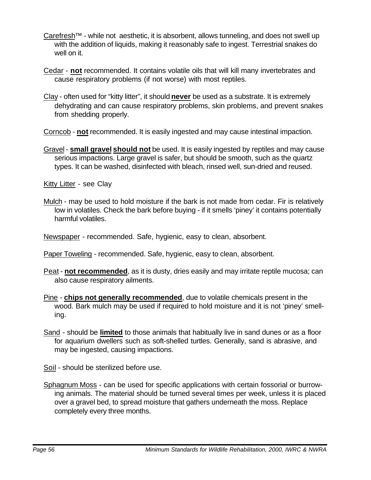- Carefresh™ while not aesthetic, it is absorbent, allows tunneling, and does not swell up with the addition of liquids, making it reasonably safe to ingest. Terrestrial snakes do well on it.
- Cedar **not** recommended. It contains volatile oils that will kill many invertebrates and cause respiratory problems (if not worse) with most reptiles.
- Clay often used for "kitty litter", it should **never** be used as a substrate. It is extremely dehydrating and can cause respiratory problems, skin problems, and prevent snakes from shedding properly.
- Corncob **not** recommended. It is easily ingested and may cause intestinal impaction.
- Gravel **small gravel should not** be used. It is easily ingested by reptiles and may cause serious impactions. Large gravel is safer, but should be smooth, such as the quartz types. It can be washed, disinfected with bleach, rinsed well, sun-dried and reused.

Kitty Litter - see Clay

- Mulch may be used to hold moisture if the bark is not made from cedar. Fir is relatively low in volatiles. Check the bark before buying - if it smells 'piney' it contains potentially harmful volatiles.
- Newspaper recommended. Safe, hygienic, easy to clean, absorbent.

Paper Toweling - recommended. Safe, hygienic, easy to clean, absorbent.

- Peat **not recommended**, as it is dusty, dries easily and may irritate reptile mucosa; can also cause respiratory ailments.
- Pine **chips not generally recommended**, due to volatile chemicals present in the wood. Bark mulch may be used if required to hold moisture and it is not 'piney' smelling.
- Sand should be **limited** to those animals that habitually live in sand dunes or as a floor for aquarium dwellers such as soft-shelled turtles. Generally, sand is abrasive, and may be ingested, causing impactions.

Soil - should be sterilized before use.

Sphagnum Moss - can be used for specific applications with certain fossorial or burrowing animals. The material should be turned several times per week, unless it is placed over a gravel bed, to spread moisture that gathers underneath the moss. Replace completely every three months.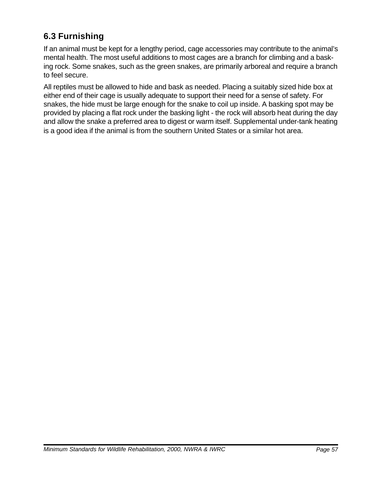# **6.3 Furnishing**

If an animal must be kept for a lengthy period, cage accessories may contribute to the animal's mental health. The most useful additions to most cages are a branch for climbing and a basking rock. Some snakes, such as the green snakes, are primarily arboreal and require a branch to feel secure.

All reptiles must be allowed to hide and bask as needed. Placing a suitably sized hide box at either end of their cage is usually adequate to support their need for a sense of safety. For snakes, the hide must be large enough for the snake to coil up inside. A basking spot may be provided by placing a flat rock under the basking light - the rock will absorb heat during the day and allow the snake a preferred area to digest or warm itself. Supplemental under-tank heating is a good idea if the animal is from the southern United States or a similar hot area.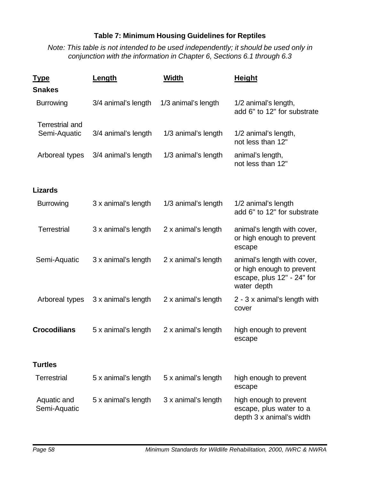### **Table 7: Minimum Housing Guidelines for Reptiles**

*Note: This table is not intended to be used independently; it should be used only in conjunction with the information in Chapter 6, Sections 6.1 through 6.3*

| <u>Type</u>                 | Length              | <b>Width</b>        | <b>Height</b>                                                                                         |
|-----------------------------|---------------------|---------------------|-------------------------------------------------------------------------------------------------------|
| <b>Snakes</b>               |                     |                     |                                                                                                       |
| <b>Burrowing</b>            | 3/4 animal's length | 1/3 animal's length | 1/2 animal's length,<br>add 6" to 12" for substrate                                                   |
| <b>Terrestrial and</b>      |                     |                     |                                                                                                       |
| Semi-Aquatic                | 3/4 animal's length | 1/3 animal's length | 1/2 animal's length,<br>not less than 12"                                                             |
| Arboreal types              | 3/4 animal's length | 1/3 animal's length | animal's length,<br>not less than 12"                                                                 |
| <b>Lizards</b>              |                     |                     |                                                                                                       |
| <b>Burrowing</b>            | 3 x animal's length | 1/3 animal's length | 1/2 animal's length<br>add 6" to 12" for substrate                                                    |
| <b>Terrestrial</b>          | 3 x animal's length | 2 x animal's length | animal's length with cover,<br>or high enough to prevent<br>escape                                    |
| Semi-Aquatic                | 3 x animal's length | 2 x animal's length | animal's length with cover,<br>or high enough to prevent<br>escape, plus 12" - 24" for<br>water depth |
| Arboreal types              | 3 x animal's length | 2 x animal's length | 2 - 3 x animal's length with<br>cover                                                                 |
| <b>Crocodilians</b>         | 5 x animal's length | 2 x animal's length | high enough to prevent<br>escape                                                                      |
| <b>Turtles</b>              |                     |                     |                                                                                                       |
| <b>Terrestrial</b>          | 5 x animal's length | 5 x animal's length | high enough to prevent<br>escape                                                                      |
| Aquatic and<br>Semi-Aquatic | 5 x animal's length | 3 x animal's length | high enough to prevent<br>escape, plus water to a<br>depth 3 x animal's width                         |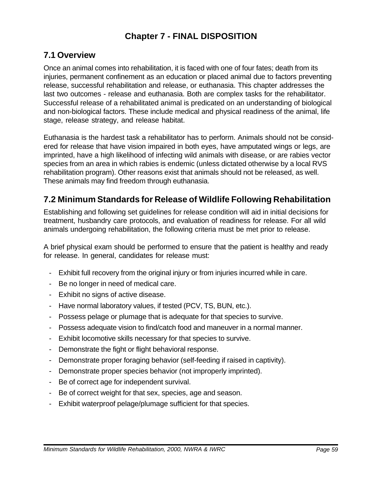## **Chapter 7 - FINAL DISPOSITION**

## **7.1 Overview**

Once an animal comes into rehabilitation, it is faced with one of four fates; death from its injuries, permanent confinement as an education or placed animal due to factors preventing release, successful rehabilitation and release, or euthanasia. This chapter addresses the last two outcomes - release and euthanasia. Both are complex tasks for the rehabilitator. Successful release of a rehabilitated animal is predicated on an understanding of biological and non-biological factors. These include medical and physical readiness of the animal, life stage, release strategy, and release habitat.

Euthanasia is the hardest task a rehabilitator has to perform. Animals should not be considered for release that have vision impaired in both eyes, have amputated wings or legs, are imprinted, have a high likelihood of infecting wild animals with disease, or are rabies vector species from an area in which rabies is endemic (unless dictated otherwise by a local RVS rehabilitation program). Other reasons exist that animals should not be released, as well. These animals may find freedom through euthanasia.

## **7.2 Minimum Standards for Release of Wildlife Following Rehabilitation**

Establishing and following set guidelines for release condition will aid in initial decisions for treatment, husbandry care protocols, and evaluation of readiness for release. For all wild animals undergoing rehabilitation, the following criteria must be met prior to release.

A brief physical exam should be performed to ensure that the patient is healthy and ready for release. In general, candidates for release must:

- Exhibit full recovery from the original injury or from injuries incurred while in care.
- Be no longer in need of medical care.
- Exhibit no signs of active disease.
- Have normal laboratory values, if tested (PCV, TS, BUN, etc.).
- Possess pelage or plumage that is adequate for that species to survive.
- Possess adequate vision to find/catch food and maneuver in a normal manner.
- Exhibit locomotive skills necessary for that species to survive.
- Demonstrate the fight or flight behavioral response.
- Demonstrate proper foraging behavior (self-feeding if raised in captivity).
- Demonstrate proper species behavior (not improperly imprinted).
- Be of correct age for independent survival.
- Be of correct weight for that sex, species, age and season.
- Exhibit waterproof pelage/plumage sufficient for that species.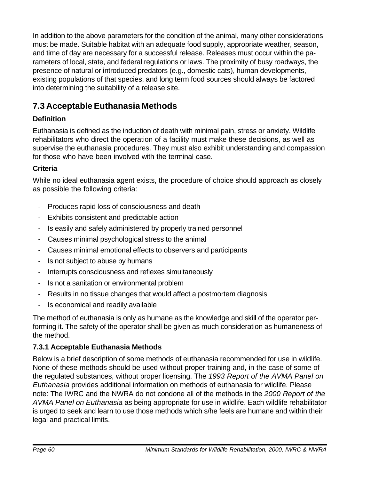In addition to the above parameters for the condition of the animal, many other considerations must be made. Suitable habitat with an adequate food supply, appropriate weather, season, and time of day are necessary for a successful release. Releases must occur within the parameters of local, state, and federal regulations or laws. The proximity of busy roadways, the presence of natural or introduced predators (e.g., domestic cats), human developments, existing populations of that species, and long term food sources should always be factored into determining the suitability of a release site.

## **7.3 Acceptable Euthanasia Methods**

## **Definition**

Euthanasia is defined as the induction of death with minimal pain, stress or anxiety. Wildlife rehabilitators who direct the operation of a facility must make these decisions, as well as supervise the euthanasia procedures. They must also exhibit understanding and compassion for those who have been involved with the terminal case.

## **Criteria**

While no ideal euthanasia agent exists, the procedure of choice should approach as closely as possible the following criteria:

- Produces rapid loss of consciousness and death
- Exhibits consistent and predictable action
- Is easily and safely administered by properly trained personnel
- Causes minimal psychological stress to the animal
- Causes minimal emotional effects to observers and participants
- Is not subject to abuse by humans
- Interrupts consciousness and reflexes simultaneously
- Is not a sanitation or environmental problem
- Results in no tissue changes that would affect a postmortem diagnosis
- Is economical and readily available

The method of euthanasia is only as humane as the knowledge and skill of the operator performing it. The safety of the operator shall be given as much consideration as humaneness of the method.

## **7.3.1 Acceptable Euthanasia Methods**

Below is a brief description of some methods of euthanasia recommended for use in wildlife. None of these methods should be used without proper training and, in the case of some of the regulated substances, without proper licensing. The *1993 Report of the AVMA Panel on Euthanasia* provides additional information on methods of euthanasia for wildlife. Please note: The IWRC and the NWRA do not condone all of the methods in the *2000 Report of the AVMA Panel on Euthanasia* as being appropriate for use in wildlife. Each wildlife rehabilitator is urged to seek and learn to use those methods which s/he feels are humane and within their legal and practical limits.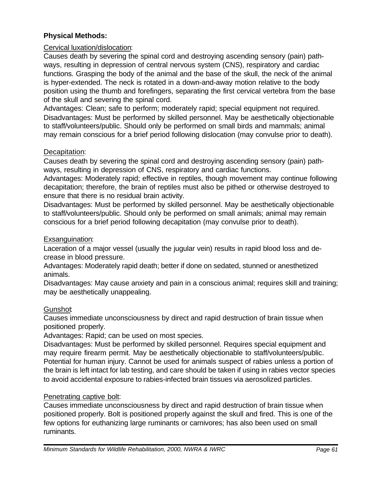#### **Physical Methods:**

#### Cervical luxation/dislocation:

Causes death by severing the spinal cord and destroying ascending sensory (pain) pathways, resulting in depression of central nervous system (CNS), respiratory and cardiac functions. Grasping the body of the animal and the base of the skull, the neck of the animal is hyper-extended. The neck is rotated in a down-and-away motion relative to the body position using the thumb and forefingers, separating the first cervical vertebra from the base of the skull and severing the spinal cord.

Advantages: Clean; safe to perform; moderately rapid; special equipment not required. Disadvantages: Must be performed by skilled personnel. May be aesthetically objectionable to staff/volunteers/public. Should only be performed on small birds and mammals; animal may remain conscious for a brief period following dislocation (may convulse prior to death).

#### Decapitation:

Causes death by severing the spinal cord and destroying ascending sensory (pain) pathways, resulting in depression of CNS, respiratory and cardiac functions.

Advantages: Moderately rapid; effective in reptiles, though movement may continue following decapitation; therefore, the brain of reptiles must also be pithed or otherwise destroyed to ensure that there is no residual brain activity.

Disadvantages: Must be performed by skilled personnel. May be aesthetically objectionable to staff/volunteers/public. Should only be performed on small animals; animal may remain conscious for a brief period following decapitation (may convulse prior to death).

#### Exsanguination:

Laceration of a major vessel (usually the jugular vein) results in rapid blood loss and decrease in blood pressure.

Advantages: Moderately rapid death; better if done on sedated, stunned or anesthetized animals.

Disadvantages: May cause anxiety and pain in a conscious animal; requires skill and training; may be aesthetically unappealing.

#### Gunshot:

Causes immediate unconsciousness by direct and rapid destruction of brain tissue when positioned properly.

Advantages: Rapid; can be used on most species.

Disadvantages: Must be performed by skilled personnel. Requires special equipment and may require firearm permit. May be aesthetically objectionable to staff/volunteers/public. Potential for human injury. Cannot be used for animals suspect of rabies unless a portion of the brain is left intact for lab testing, and care should be taken if using in rabies vector species to avoid accidental exposure to rabies-infected brain tissues via aerosolized particles.

#### Penetrating captive bolt:

Causes immediate unconsciousness by direct and rapid destruction of brain tissue when positioned properly. Bolt is positioned properly against the skull and fired. This is one of the few options for euthanizing large ruminants or carnivores; has also been used on small ruminants.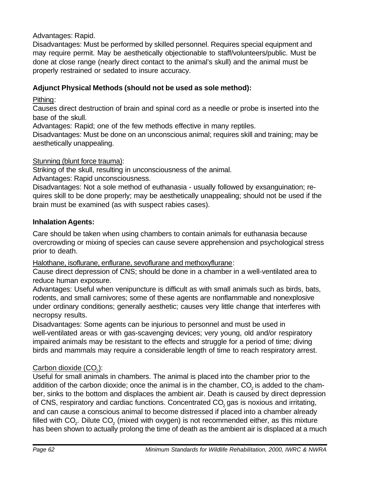Advantages: Rapid.

Disadvantages: Must be performed by skilled personnel. Requires special equipment and may require permit. May be aesthetically objectionable to staff/volunteers/public. Must be done at close range (nearly direct contact to the animal's skull) and the animal must be properly restrained or sedated to insure accuracy.

## **Adjunct Physical Methods (should not be used as sole method):**

Pithing:

Causes direct destruction of brain and spinal cord as a needle or probe is inserted into the base of the skull.

Advantages: Rapid; one of the few methods effective in many reptiles.

Disadvantages: Must be done on an unconscious animal; requires skill and training; may be aesthetically unappealing.

Stunning (blunt force trauma):

Striking of the skull, resulting in unconsciousness of the animal.

Advantages: Rapid unconsciousness.

Disadvantages: Not a sole method of euthanasia - usually followed by exsanguination; requires skill to be done properly; may be aesthetically unappealing; should not be used if the brain must be examined (as with suspect rabies cases).

## **Inhalation Agents:**

Care should be taken when using chambers to contain animals for euthanasia because overcrowding or mixing of species can cause severe apprehension and psychological stress prior to death.

Halothane, isoflurane, enflurane, sevoflurane and methoxyflurane:

Cause direct depression of CNS; should be done in a chamber in a well-ventilated area to reduce human exposure.

Advantages: Useful when venipuncture is difficult as with small animals such as birds, bats, rodents, and small carnivores; some of these agents are nonflammable and nonexplosive under ordinary conditions; generally aesthetic; causes very little change that interferes with necropsy results.

Disadvantages: Some agents can be injurious to personnel and must be used in well-ventilated areas or with gas-scavenging devices; very young, old and/or respiratory impaired animals may be resistant to the effects and struggle for a period of time; diving birds and mammals may require a considerable length of time to reach respiratory arrest.

## <u>Carbon dioxide (CO<sub>2</sub>)</u>:

Useful for small animals in chambers. The animal is placed into the chamber prior to the addition of the carbon dioxide; once the animal is in the chamber, CO<sub>2</sub> is added to the chamber, sinks to the bottom and displaces the ambient air. Death is caused by direct depression of CNS, respiratory and cardiac functions. Concentrated CO<sub>2</sub> gas is noxious and irritating, and can cause a conscious animal to become distressed if placed into a chamber already filled with CO<sub>2</sub>. Dilute CO<sub>2</sub> (mixed with oxygen) is not recommended either, as this mixture has been shown to actually prolong the time of death as the ambient air is displaced at a much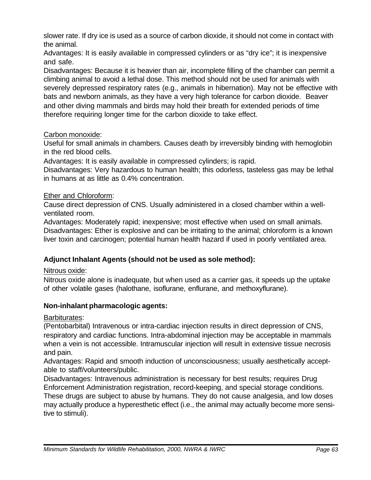slower rate. If dry ice is used as a source of carbon dioxide, it should not come in contact with the animal.

Advantages: It is easily available in compressed cylinders or as "dry ice"; it is inexpensive and safe.

Disadvantages: Because it is heavier than air, incomplete filling of the chamber can permit a climbing animal to avoid a lethal dose. This method should not be used for animals with severely depressed respiratory rates (e.g., animals in hibernation). May not be effective with bats and newborn animals, as they have a very high tolerance for carbon dioxide. Beaver and other diving mammals and birds may hold their breath for extended periods of time therefore requiring longer time for the carbon dioxide to take effect.

### Carbon monoxide:

Useful for small animals in chambers. Causes death by irreversibly binding with hemoglobin in the red blood cells.

Advantages: It is easily available in compressed cylinders; is rapid.

Disadvantages: Very hazardous to human health; this odorless, tasteless gas may be lethal in humans at as little as 0.4% concentration.

## Ether and Chloroform:

Cause direct depression of CNS. Usually administered in a closed chamber within a wellventilated room.

Advantages: Moderately rapid; inexpensive; most effective when used on small animals. Disadvantages: Ether is explosive and can be irritating to the animal; chloroform is a known liver toxin and carcinogen; potential human health hazard if used in poorly ventilated area.

## **Adjunct Inhalant Agents (should not be used as sole method):**

Nitrous oxide:

Nitrous oxide alone is inadequate, but when used as a carrier gas, it speeds up the uptake of other volatile gases (halothane, isoflurane, enflurane, and methoxyflurane).

## **Non-inhalant pharmacologic agents:**

Barbiturates:

(Pentobarbital) Intravenous or intra-cardiac injection results in direct depression of CNS, respiratory and cardiac functions. Intra-abdominal injection may be acceptable in mammals when a vein is not accessible. Intramuscular injection will result in extensive tissue necrosis and pain.

Advantages: Rapid and smooth induction of unconsciousness; usually aesthetically acceptable to staff/volunteers/public.

Disadvantages: Intravenous administration is necessary for best results; requires Drug Enforcement Administration registration, record-keeping, and special storage conditions. These drugs are subject to abuse by humans. They do not cause analgesia, and low doses may actually produce a hyperesthetic effect (i.e., the animal may actually become more sensitive to stimuli).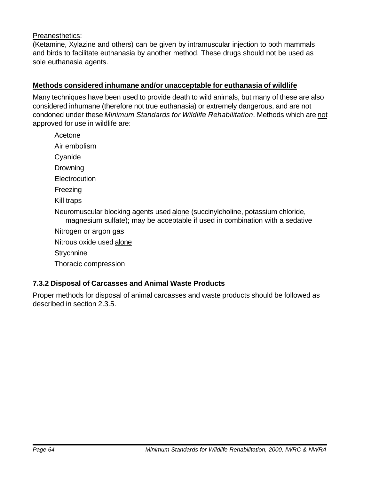#### Preanesthetics:

(Ketamine, Xylazine and others) can be given by intramuscular injection to both mammals and birds to facilitate euthanasia by another method. These drugs should not be used as sole euthanasia agents.

#### **Methods considered inhumane and/or unacceptable for euthanasia of wildlife**

Many techniques have been used to provide death to wild animals, but many of these are also considered inhumane (therefore not true euthanasia) or extremely dangerous, and are not condoned under these *Minimum Standards for Wildlife Rehabilitation*. Methods which are not approved for use in wildlife are:

Acetone

Air embolism

Cyanide

**Drowning** 

**Electrocution** 

Freezing

Kill traps

Neuromuscular blocking agents used alone (succinylcholine, potassium chloride, magnesium sulfate); may be acceptable if used in combination with a sedative

Nitrogen or argon gas

Nitrous oxide used alone

**Strychnine** 

Thoracic compression

#### **7.3.2 Disposal of Carcasses and Animal Waste Products**

Proper methods for disposal of animal carcasses and waste products should be followed as described in section 2.3.5.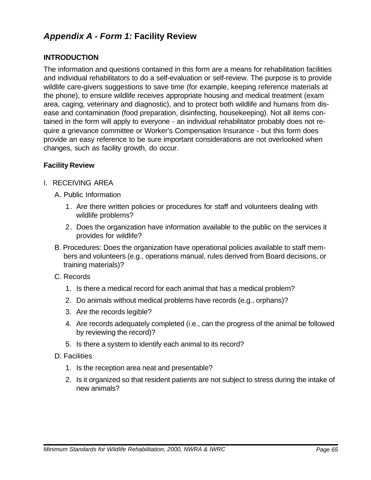## *Appendix A - Form 1:* **Facility Review**

### **INTRODUCTION**

The information and questions contained in this form are a means for rehabilitation facilities and individual rehabilitators to do a self-evaluation or self-review. The purpose is to provide wildlife care-givers suggestions to save time (for example, keeping reference materials at the phone), to ensure wildlife receives appropriate housing and medical treatment (exam area, caging, veterinary and diagnostic), and to protect both wildlife and humans from disease and contamination (food preparation, disinfecting, housekeeping). Not all items contained in the form will apply to everyone - an individual rehabilitator probably does not require a grievance committee or Worker's Compensation Insurance - but this form does provide an easy reference to be sure important considerations are not overlooked when changes, such as facility growth, do occur.

#### **Facility Review**

I. RECEIVING AREA

A. Public Information

- 1. Are there written policies or procedures for staff and volunteers dealing with wildlife problems?
- 2. Does the organization have information available to the public on the services it provides for wildlife?
- B. Procedures: Does the organization have operational policies available to staff mem bers and volunteers (e.g., operations manual, rules derived from Board decisions, or training materials)?
- C. Records
	- 1. Is there a medical record for each animal that has a medical problem?
	- 2. Do animals without medical problems have records (e.g., orphans)?
	- 3. Are the records legible?
	- 4. Are records adequately completed (i.e., can the progress of the animal be followed by reviewing the record)?
	- 5. Is there a system to identify each animal to its record?
- D. Facilities
	- 1. Is the reception area neat and presentable?
	- 2. Is it organized so that resident patients are not subject to stress during the intake of new animals?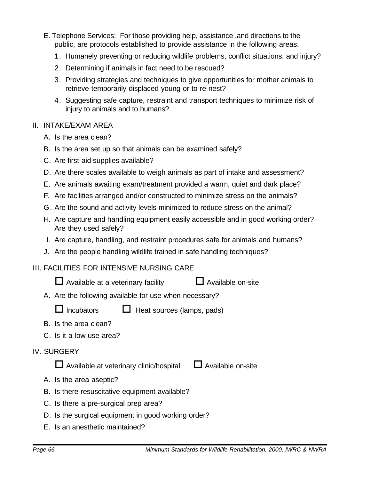- E. Telephone Services: For those providing help, assistance ,and directions to the public, are protocols established to provide assistance in the following areas:
	- 1. Humanely preventing or reducing wildlife problems, conflict situations, and injury?
	- 2. Determining if animals in fact need to be rescued?
	- 3. Providing strategies and techniques to give opportunities for mother animals to retrieve temporarily displaced young or to re-nest?
	- 4. Suggesting safe capture, restraint and transport techniques to minimize risk of injury to animals and to humans?

#### II. INTAKE/EXAM AREA

- A. Is the area clean?
- B. Is the area set up so that animals can be examined safely?
- C. Are first-aid supplies available?
- D. Are there scales available to weigh animals as part of intake and assessment?
- E. Are animals awaiting exam/treatment provided a warm, quiet and dark place?
- F. Are facilities arranged and/or constructed to minimize stress on the animals?
- G. Are the sound and activity levels minimized to reduce stress on the animal?
- H. Are capture and handling equipment easily accessible and in good working order? Are they used safely?
- I. Are capture, handling, and restraint procedures safe for animals and humans?
- J. Are the people handling wildlife trained in safe handling techniques?

#### III. FACILITIES FOR INTENSIVE NURSING CARE

- $\Box$  Available at a veterinary facility  $\Box$  Available on-site
- A. Are the following available for use when necessary?
	- $\Box$  Incubators  $\Box$  Heat sources (lamps, pads)
- B. Is the area clean?
- C. Is it a low-use area?
- IV. SURGERY

 $\Box$  Available at veterinary clinic/hospital  $\Box$  Available on-site

- A. Is the area aseptic?
- B. Is there resuscitative equipment available?
- C. Is there a pre-surgical prep area?
- D. Is the surgical equipment in good working order?
- E. Is an anesthetic maintained?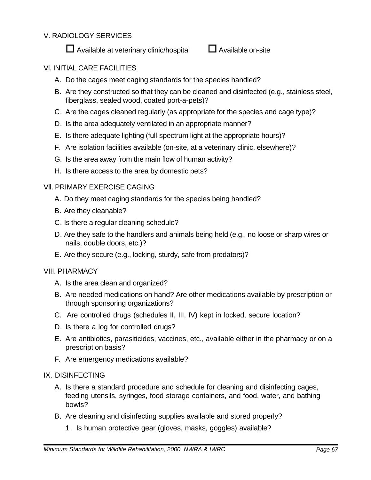### V. RADIOLOGY SERVICES



### Vl. INITIAL CARE FACILITIES

- A. Do the cages meet caging standards for the species handled?
- B. Are they constructed so that they can be cleaned and disinfected (e.g., stainless steel, fiberglass, sealed wood, coated port-a-pets)?
- C. Are the cages cleaned regularly (as appropriate for the species and cage type)?
- D. Is the area adequately ventilated in an appropriate manner?
- E. Is there adequate lighting (full-spectrum light at the appropriate hours)?
- F. Are isolation facilities available (on-site, at a veterinary clinic, elsewhere)?
- G. Is the area away from the main flow of human activity?
- H. Is there access to the area by domestic pets?

#### Vll. PRIMARY EXERCISE CAGING

- A. Do they meet caging standards for the species being handled?
- B. Are they cleanable?
- C. Is there a regular cleaning schedule?
- D. Are they safe to the handlers and animals being held (e.g., no loose or sharp wires or nails, double doors, etc.)?
- E. Are they secure (e.g., locking, sturdy, safe from predators)?

#### VIII. PHARMACY

- A. Is the area clean and organized?
- B. Are needed medications on hand? Are other medications available by prescription or through sponsoring organizations?
- C. Are controlled drugs (schedules II, III, IV) kept in locked, secure location?
- D. Is there a log for controlled drugs?
- E. Are antibiotics, parasiticides, vaccines, etc., available either in the pharmacy or on a prescription basis?
- F. Are emergency medications available?

#### IX. DISINFECTING

- A. Is there a standard procedure and schedule for cleaning and disinfecting cages, feeding utensils, syringes, food storage containers, and food, water, and bathing bowls?
- B. Are cleaning and disinfecting supplies available and stored properly?
	- 1. Is human protective gear (gloves, masks, goggles) available?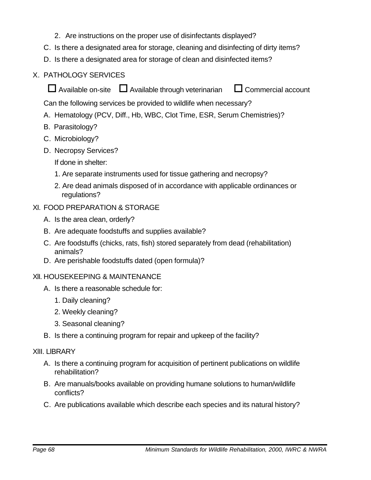- 2. Are instructions on the proper use of disinfectants displayed?
- C. Is there a designated area for storage, cleaning and disinfecting of dirty items?
- D. Is there a designated area for storage of clean and disinfected items?

## X. PATHOLOGY SERVICES

 $\Box$  Available on-site  $\Box$  Available through veterinarian  $\Box$  Commercial account

Can the following services be provided to wildlife when necessary?

- A. Hematology (PCV, Diff., Hb, WBC, Clot Time, ESR, Serum Chemistries)?
- B. Parasitology?
- C. Microbiology?
- D. Necropsy Services?

If done in shelter:

- 1. Are separate instruments used for tissue gathering and necropsy?
- 2. Are dead animals disposed of in accordance with applicable ordinances or regulations?
- XI. FOOD PREPARATION & STORAGE
	- A. Is the area clean, orderly?
	- B. Are adequate foodstuffs and supplies available?
	- C. Are foodstuffs (chicks, rats, fish) stored separately from dead (rehabilitation) animals?
	- D. Are perishable foodstuffs dated (open formula)?

#### XlI. HOUSEKEEPING & MAINTENANCE

- A. Is there a reasonable schedule for:
	- 1. Daily cleaning?
	- 2. Weekly cleaning?
	- 3. Seasonal cleaning?
- B. Is there a continuing program for repair and upkeep of the facility?

#### XlII. LlBRARY

- A. Is there a continuing program for acquisition of pertinent publications on wildlife rehabilitation?
- B. Are manuals/books available on providing humane solutions to human/wildlife conflicts?
- C. Are publications available which describe each species and its natural history?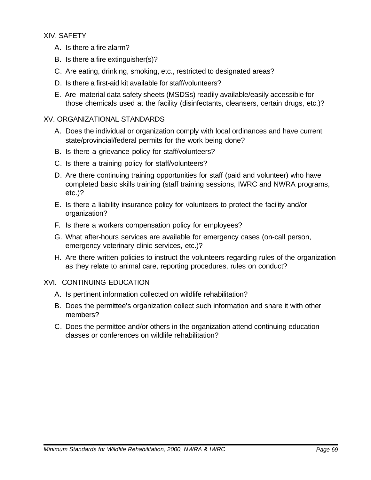XIV. SAFETY

- A. Is there a fire alarm?
- B. Is there a fire extinguisher(s)?
- C. Are eating, drinking, smoking, etc., restricted to designated areas?
- D. Is there a first-aid kit available for staff/volunteers?
- E. Are material data safety sheets (MSDSs) readily available/easily accessible for those chemicals used at the facility (disinfectants, cleansers, certain drugs, etc.)?

#### XV. ORGANIZATIONAL STANDARDS

- A. Does the individual or organization comply with local ordinances and have current state/provincial/federal permits for the work being done?
- B. Is there a grievance policy for staff/volunteers?
- C. Is there a training policy for staff/volunteers?
- D. Are there continuing training opportunities for staff (paid and volunteer) who have completed basic skills training (staff training sessions, IWRC and NWRA programs, etc.)?
- E. Is there a liability insurance policy for volunteers to protect the facility and/or organization?
- F. Is there a workers compensation policy for employees?
- G. What after-hours services are available for emergency cases (on-call person, emergency veterinary clinic services, etc.)?
- H. Are there written policies to instruct the volunteers regarding rules of the organization as they relate to animal care, reporting procedures, rules on conduct?

#### XVI. CONTINUING EDUCATION

- A. Is pertinent information collected on wildlife rehabilitation?
- B. Does the permittee's organization collect such information and share it with other members?
- C. Does the permittee and/or others in the organization attend continuing education classes or conferences on wildlife rehabilitation?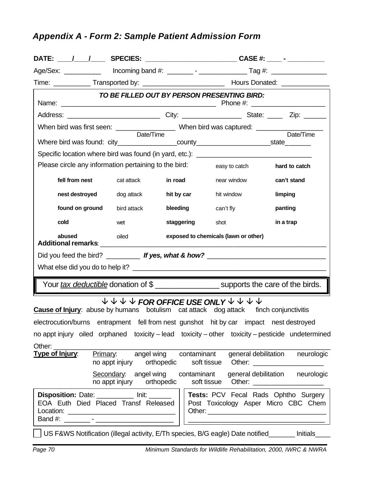# *Appendix A - Form 2: Sample Patient Admission Form*

|                                                                                                  |                                                                                 |             | TO BE FILLED OUT BY PERSON PRESENTING BIRD:                                                                                                                                     |                                                                                     |  |
|--------------------------------------------------------------------------------------------------|---------------------------------------------------------------------------------|-------------|---------------------------------------------------------------------------------------------------------------------------------------------------------------------------------|-------------------------------------------------------------------------------------|--|
|                                                                                                  |                                                                                 |             |                                                                                                                                                                                 |                                                                                     |  |
|                                                                                                  |                                                                                 |             |                                                                                                                                                                                 |                                                                                     |  |
| Where bird was found: city___________________county_________________________state_________       | Date/Time                                                                       |             |                                                                                                                                                                                 | Date/Time                                                                           |  |
| Specific location where bird was found (in yard, etc.): _________________________                |                                                                                 |             |                                                                                                                                                                                 |                                                                                     |  |
| Please circle any information pertaining to the bird:                                            |                                                                                 |             | easy to catch                                                                                                                                                                   | hard to catch                                                                       |  |
| fell from nest                                                                                   | cat attack                                                                      | in road     | near window                                                                                                                                                                     | can't stand                                                                         |  |
| nest destroyed                                                                                   | dog attack                                                                      | hit by car  | hit window                                                                                                                                                                      | limping                                                                             |  |
| found on ground                                                                                  | bird attack                                                                     | bleeding    | can't fly                                                                                                                                                                       | panting                                                                             |  |
| cold                                                                                             | wet                                                                             | staggering  | shot                                                                                                                                                                            | in a trap                                                                           |  |
| abused                                                                                           | oiled                                                                           |             | exposed to chemicals (lawn or other)                                                                                                                                            |                                                                                     |  |
| Did you feed the bird? _________ If yes, what & how? ___________________________                 |                                                                                 |             |                                                                                                                                                                                 |                                                                                     |  |
|                                                                                                  |                                                                                 |             |                                                                                                                                                                                 |                                                                                     |  |
|                                                                                                  |                                                                                 |             | <u> 1980 - Jan Sarajević, politički politički politički kalendar († 1901)</u><br>Your <i>tax deductible</i> donation of \$ ____________________ supports the care of the birds. |                                                                                     |  |
| <b>Cause of Injury:</b> abuse by humans botulism cat attack dog attack finch conjunctivitis      |                                                                                 |             | $\downarrow \psi \downarrow \psi$ FOR OFFICE USE ONLY $\downarrow \psi \downarrow \psi$                                                                                         |                                                                                     |  |
| electrocution/burns entrapment fell from nest gunshot hit by car impact nest destroyed           |                                                                                 |             |                                                                                                                                                                                 |                                                                                     |  |
| no appt injury oiled orphaned toxicity – lead toxicity – other toxicity – pesticide undetermined |                                                                                 |             |                                                                                                                                                                                 |                                                                                     |  |
| Other:<br>Type of Injury:                                                                        | <b>Primary:</b> angel wing contaminant                                          |             |                                                                                                                                                                                 | general debilitation neurologic                                                     |  |
|                                                                                                  | no appt injury orthopedic<br>Secondary: angel wing<br>no appt injury orthopedic | contaminant | soft tissue<br>soft tissue                                                                                                                                                      | general debilitation neurologic                                                     |  |
| Disposition: Date: __________ Init: ______<br>EOA Euth Died Placed Transf Released               |                                                                                 |             |                                                                                                                                                                                 | <b>Tests: PCV Fecal Rads Ophtho Surgery</b><br>Post Toxicology Asper Micro CBC Chem |  |
|                                                                                                  |                                                                                 |             | US F&WS Notification (illegal activity, E/Th species, B/G eagle) Date notified                                                                                                  | Initials_                                                                           |  |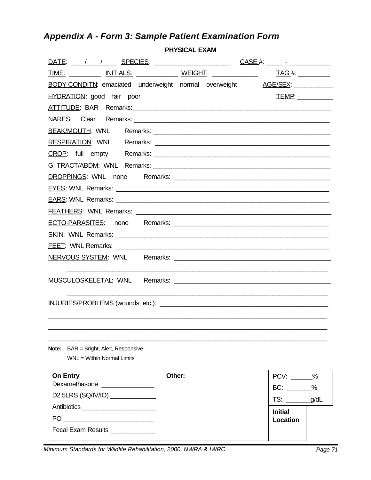# *Appendix A - Form 3: Sample Patient Examination Form*

**PHYSICAL EXAM**

| <u>TIME: ___________ INITIALS: ______________ WEIGHT</u> : ______________                                      | <u>TAG</u> #: ___________ |
|----------------------------------------------------------------------------------------------------------------|---------------------------|
| <b>BODY CONDITN:</b> emaciated underweight normal overweight AGE/SEX:                                          |                           |
| <b>HYDRATION:</b> good fair poor                                                                               | TEMP:                     |
| ATTITUDE: BAR Remarks: ATTITUDE: BAR Remarks:                                                                  |                           |
|                                                                                                                |                           |
|                                                                                                                |                           |
|                                                                                                                |                           |
|                                                                                                                |                           |
|                                                                                                                |                           |
|                                                                                                                |                           |
|                                                                                                                |                           |
|                                                                                                                |                           |
|                                                                                                                |                           |
|                                                                                                                |                           |
|                                                                                                                |                           |
|                                                                                                                |                           |
| NERVOUS SYSTEM: WNL Remarks: Change Contract Contract Contract Contract Contract Contract Contract Contract Co |                           |
|                                                                                                                |                           |
|                                                                                                                |                           |
|                                                                                                                |                           |
|                                                                                                                |                           |
|                                                                                                                |                           |
|                                                                                                                |                           |
|                                                                                                                |                           |
| <b>Note:</b> BAR = Bright, Alert, Responsive                                                                   |                           |
| WNL = Within Normal Limits                                                                                     |                           |
| Other:<br>On Entry:                                                                                            | $PCV:$ $\frac{9}{6}$      |
| Dexamethasone ________________                                                                                 | $BC:$ _______%            |
| D2.5LRS (SQ/IV/IO) _____________                                                                               | $TS:$ $q/dL$              |
|                                                                                                                | <b>Initial</b>            |
| $\mathsf{PO} \_\_\_\_\_\_\_ \$                                                                                 | Location                  |
| Fecal Exam Results _____________                                                                               |                           |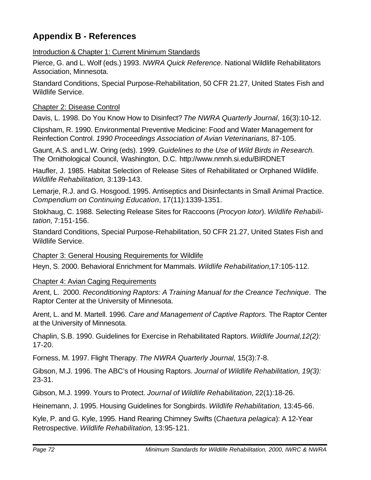## **Appendix B - References**

Introduction & Chapter 1: Current Minimum Standards

Pierce, G. and L. Wolf (eds.) 1993. *NWRA Quick Reference*. National Wildlife Rehabilitators Association, Minnesota.

Standard Conditions, Special Purpose-Rehabilitation, 50 CFR 21.27, United States Fish and Wildlife Service.

Chapter 2: Disease Control

Davis, L. 1998. Do You Know How to Disinfect? *The NWRA Quarterly Journal*, 16(3):10-12.

Clipsham, R. 1990. Environmental Preventive Medicine: Food and Water Management for Reinfection Control. *1990 Proceedings Association of Avian Veterinarians,* 87-105.

Gaunt, A.S. and L.W. Oring (eds). 1999. *Guidelines to the Use of Wild Birds in Research.* The Ornithological Council, Washington, D.C. http://www.nmnh.si.edu/BIRDNET

Haufler, J. 1985. Habitat Selection of Release Sites of Rehabilitated or Orphaned Wildlife. *Wildlife Rehabilitation,* 3:139-143.

Lemarje, R.J. and G. Hosgood. 1995. Antiseptics and Disinfectants in Small Animal Practice. *Compendium on Continuing Education*, 17(11):1339-1351.

Stokhaug, C. 1988. Selecting Release Sites for Raccoons (*Procyon lotor*). *Wildlife Rehabilitation,* 7:151-156.

Standard Conditions, Special Purpose-Rehabilitation, 50 CFR 21.27, United States Fish and Wildlife Service.

Chapter 3: General Housing Requirements for Wildlife

Heyn, S. 2000. Behavioral Enrichment for Mammals. *Wildlife Rehabilitation,*17:105-112.

Chapter 4: Avian Caging Requirements

Arent, L. 2000. *Reconditioning Raptors: A Training Manual for the Creance Technique*. The Raptor Center at the University of Minnesota.

Arent, L. and M. Martell. 1996. *Care and Management of Captive Raptors.* The Raptor Center at the University of Minnesota.

Chaplin, S.B. 1990. Guidelines for Exercise in Rehabilitated Raptors. *Wildlife Journal,12(2):* 17-20.

Forness, M. 1997. Flight Therapy. *The NWRA Quarterly Journal,* 15(3):7-8.

Gibson, M.J. 1996. The ABC's of Housing Raptors. *Journal of Wildlife Rehabilitation, 19(3):* 23-31.

Gibson, M.J. 1999. Yours to Protect. *Journal of Wildlife Rehabilitation,* 22(1):18-26.

Heinemann, J. 1995. Housing Guidelines for Songbirds. *Wildlife Rehabilitation,* 13:45-66.

Kyle, P. and G. Kyle, 1995. Hand Rearing Chimney Swifts (*Chaetura pelagica*): A 12-Year Retrospective. *Wildlife Rehabilitation,* 13:95-121.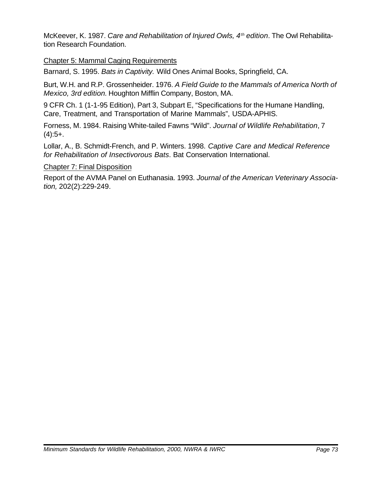McKeever, K. 1987. *Care and Rehabilitation of Injured Owls, 4th edition*. The Owl Rehabilitation Research Foundation.

### Chapter 5: Mammal Caging Requirements

Barnard, S. 1995. *Bats in Captivity.* Wild Ones Animal Books, Springfield, CA.

Burt, W.H. and R.P. Grossenheider. 1976. *A Field Guide to the Mammals of America North of Mexico, 3rd edition.* Houghton Mifflin Company, Boston, MA.

9 CFR Ch. 1 (1-1-95 Edition), Part 3, Subpart E, "Specifications for the Humane Handling, Care, Treatment, and Transportation of Marine Mammals", USDA-APHIS.

Forness, M. 1984. Raising White-tailed Fawns "Wild". *Journal of Wildlife Rehabilitation*, 7  $(4):5+$ .

Lollar, A., B. Schmidt-French, and P. Winters. 1998. *Captive Care and Medical Reference for Rehabilitation of Insectivorous Bats*. Bat Conservation International.

#### Chapter 7: Final Disposition

Report of the AVMA Panel on Euthanasia. 1993. *Journal of the American Veterinary Association,* 202(2):229-249.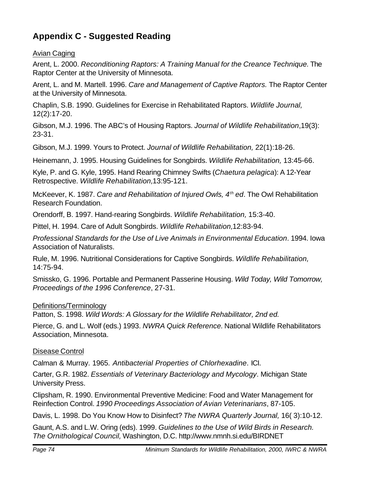# **Appendix C - Suggested Reading**

# Avian Caging

Arent, L. 2000. *Reconditioning Raptors: A Training Manual for the Creance Technique.* The Raptor Center at the University of Minnesota.

Arent, L. and M. Martell. 1996. *Care and Management of Captive Raptors.* The Raptor Center at the University of Minnesota.

Chaplin, S.B. 1990. Guidelines for Exercise in Rehabilitated Raptors. *Wildlife Journal,* 12(2):17-20.

Gibson, M.J. 1996. The ABC's of Housing Raptors. *Journal of Wildlife Rehabilitation*,19(3): 23-31.

Gibson, M.J. 1999. Yours to Protect. *Journal of Wildlife Rehabilitation,* 22(1):18-26.

Heinemann, J. 1995. Housing Guidelines for Songbirds. *Wildlife Rehabilitation,* 13:45-66.

Kyle, P. and G. Kyle, 1995. Hand Rearing Chimney Swifts (*Chaetura pelagica*): A 12-Year Retrospective. *Wildlife Rehabilitation,*13:95-121.

McKeever, K. 1987. *Care and Rehabilitation of Injured Owls, 4th ed*. The Owl Rehabilitation Research Foundation.

Orendorff, B. 1997. Hand-rearing Songbirds. *Wildlife Rehabilitation,* 15:3-40.

Pittel, H. 1994. Care of Adult Songbirds. *Wildlife Rehabilitation,*12:83-94.

*Professional Standards for the Use of Live Animals in Environmental Education*. 1994. Iowa Association of Naturalists.

Rule, M. 1996. Nutritional Considerations for Captive Songbirds. *Wildlife Rehabilitation,* 14:75-94.

Smissko, G. 1996. Portable and Permanent Passerine Housing. *Wild Today, Wild Tomorrow, Proceedings of the 1996 Conference*, 27-31.

# Definitions/Terminology

Patton, S. 1998. *Wild Words: A Glossary for the Wildlife Rehabilitator, 2nd ed.*

Pierce, G. and L. Wolf (eds.) 1993. *NWRA Quick Reference.* National Wildlife Rehabilitators Association, Minnesota.

#### Disease Control

Calman & Murray. 1965. *Antibacterial Properties of Chlorhexadine*. ICI.

Carter, G.R. 1982. *Essentials of Veterinary Bacteriology and Mycology*. Michigan State University Press.

Clipsham, R. 1990. Environmental Preventive Medicine: Food and Water Management for Reinfection Control. *1990 Proceedings Association of Avian Veterinarians*, 87-105.

Davis, L. 1998. Do You Know How to Disinfect? *The NWRA Quarterly Journal,* 16( 3):10-12.

Gaunt, A.S. and L.W. Oring (eds). 1999. *Guidelines to the Use of Wild Birds in Research. The Ornithological Council,* Washington, D.C. http://www.nmnh.si.edu/BIRDNET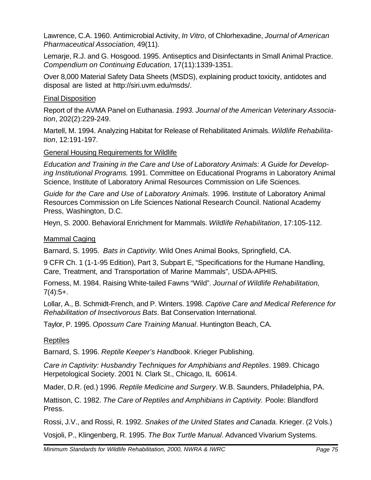Lawrence, C.A. 1960. Antimicrobial Activity, *In Vitro*, of Chlorhexadine, *Journal of American Pharmaceutical Association,* 49(11).

Lemarje, R.J. and G. Hosgood. 1995. Antiseptics and Disinfectants in Small Animal Practice. *Compendium on Continuing Education,* 17(11):1339-1351.

Over 8,000 Material Safety Data Sheets (MSDS), explaining product toxicity, antidotes and disposal are listed at http://siri.uvm.edu/msds/.

# Final Disposition

Report of the AVMA Panel on Euthanasia. *1993. Journal of the American Veterinary Association*, 202(2):229-249.

Martell, M. 1994. Analyzing Habitat for Release of Rehabilitated Animals. *Wildlife Rehabilitation*, 12:191-197.

# General Housing Requirements for Wildlife

*Education and Training in the Care and Use of Laboratory Animals: A Guide for Developing Institutional Programs*. 1991. Committee on Educational Programs in Laboratory Animal Science, Institute of Laboratory Animal Resources Commission on Life Sciences.

*Guide for the Care and Use of Laboratory Animals.* 1996. Institute of Laboratory Animal Resources Commission on Life Sciences National Research Council. National Academy Press, Washington, D.C.

Heyn, S. 2000. Behavioral Enrichment for Mammals. *Wildlife Rehabilitation*, 17:105-112.

# Mammal Caging

Barnard, S. 1995. *Bats in Captivity*. Wild Ones Animal Books, Springfield, CA.

9 CFR Ch. 1 (1-1-95 Edition), Part 3, Subpart E, "Specifications for the Humane Handling, Care, Treatment, and Transportation of Marine Mammals", USDA-APHIS.

Forness, M. 1984. Raising White-tailed Fawns "Wild". *Journal of Wildlife Rehabilitation,*  $7(4):5+$ .

Lollar, A., B. Schmidt-French, and P. Winters. 1998. *Captive Care and Medical Reference for Rehabilitation of Insectivorous Bats*. Bat Conservation International.

Taylor, P. 1995. *Opossum Care Training Manual*. Huntington Beach, CA.

#### Reptiles

Barnard, S. 1996. *Reptile Keeper's Handbook*. Krieger Publishing.

*Care in Captivity: Husbandry Techniques for Amphibians and Reptiles*. 1989. Chicago Herpetological Society. 2001 N. Clark St., Chicago, IL 60614.

Mader, D.R. (ed.) 1996. *Reptile Medicine and Surgery*. W.B. Saunders, Philadelphia, PA.

Mattison, C. 1982. *The Care of Reptiles and Amphibians in Captivity.* Poole: Blandford Press.

Rossi, J.V., and Rossi, R. 1992. *Snakes of the United States and Canada.* Krieger. (2 Vols.)

Vosjoli, P., Klingenberg, R. 1995. *The Box Turtle Manual*. Advanced Vivarium Systems.